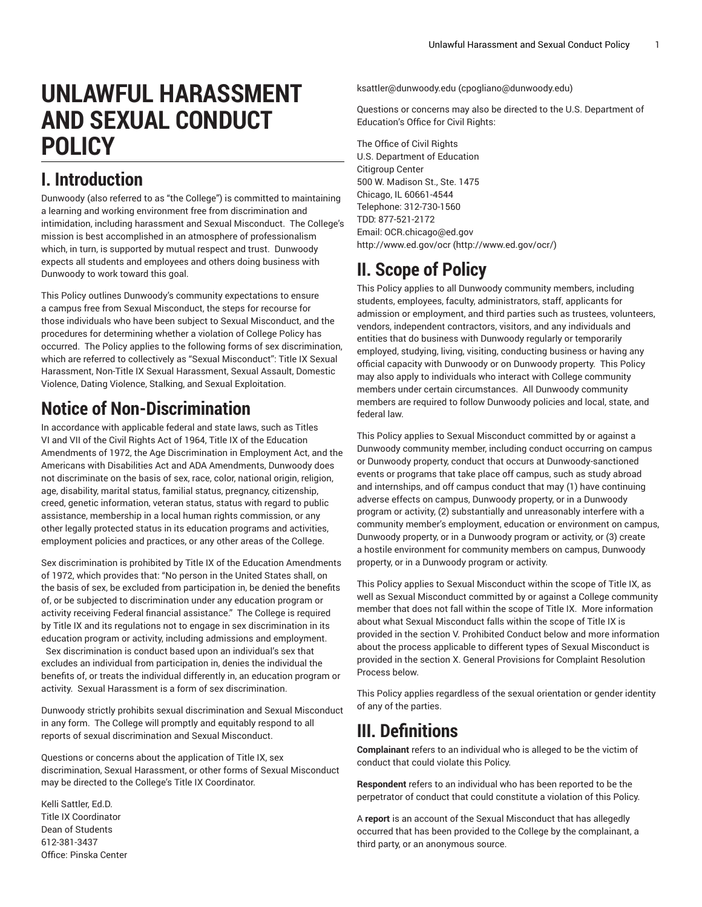# **UNLAWFUL HARASSMENT AND SEXUAL CONDUCT POLICY**

# **I. Introduction**

Dunwoody (also referred to as "the College") is committed to maintaining a learning and working environment free from discrimination and intimidation, including harassment and Sexual Misconduct. The College's mission is best accomplished in an atmosphere of professionalism which, in turn, is supported by mutual respect and trust. Dunwoody expects all students and employees and others doing business with Dunwoody to work toward this goal.

This Policy outlines Dunwoody's community expectations to ensure a campus free from Sexual Misconduct, the steps for recourse for those individuals who have been subject to Sexual Misconduct, and the procedures for determining whether a violation of College Policy has occurred. The Policy applies to the following forms of sex discrimination, which are referred to collectively as "Sexual Misconduct": Title IX Sexual Harassment, Non-Title IX Sexual Harassment, Sexual Assault, Domestic Violence, Dating Violence, Stalking, and Sexual Exploitation.

# **Notice of Non-Discrimination**

In accordance with applicable federal and state laws, such as Titles VI and VII of the Civil Rights Act of 1964, Title IX of the Education Amendments of 1972, the Age Discrimination in Employment Act, and the Americans with Disabilities Act and ADA Amendments, Dunwoody does not discriminate on the basis of sex, race, color, national origin, religion, age, disability, marital status, familial status, pregnancy, citizenship, creed, genetic information, veteran status, status with regard to public assistance, membership in a local human rights commission, or any other legally protected status in its education programs and activities, employment policies and practices, or any other areas of the College.

Sex discrimination is prohibited by Title IX of the Education Amendments of 1972, which provides that: "No person in the United States shall, on the basis of sex, be excluded from participation in, be denied the benefits of, or be subjected to discrimination under any education program or activity receiving Federal financial assistance." The College is required by Title IX and its regulations not to engage in sex discrimination in its education program or activity, including admissions and employment. Sex discrimination is conduct based upon an individual's sex that excludes an individual from participation in, denies the individual the benefits of, or treats the individual differently in, an education program or activity. Sexual Harassment is a form of sex discrimination.

Dunwoody strictly prohibits sexual discrimination and Sexual Misconduct in any form. The College will promptly and equitably respond to all reports of sexual discrimination and Sexual Misconduct.

Questions or concerns about the application of Title IX, sex discrimination, Sexual Harassment, or other forms of Sexual Misconduct may be directed to the College's Title IX Coordinator.

Kelli Sattler, Ed.D. Title IX Coordinator Dean of Students 612-381-3437 Office: Pinska Center [ksattler@dunwoody.edu](mailto:cpogliano@dunwoody.edu) [\(cpogliano@dunwoody.edu](cpogliano@dunwoody.edu))

Questions or concerns may also be directed to the U.S. Department of Education's Office for Civil Rights:

The Office of Civil Rights U.S. Department of Education Citigroup Center 500 W. Madison St., Ste. 1475 Chicago, IL 60661-4544 Telephone: 312-730-1560 TDD: 877-521-2172 Email: [OCR.chicago@ed.gov](mailto:OCR.chicago@ed.gov) [http://www.ed.gov/ocr](http://www.ed.gov/ocr/) (<http://www.ed.gov/ocr/>)

# **II. Scope of Policy**

This Policy applies to all Dunwoody community members, including students, employees, faculty, administrators, staff, applicants for admission or employment, and third parties such as trustees, volunteers, vendors, independent contractors, visitors, and any individuals and entities that do business with Dunwoody regularly or temporarily employed, studying, living, visiting, conducting business or having any official capacity with Dunwoody or on Dunwoody property. This Policy may also apply to individuals who interact with College community members under certain circumstances. All Dunwoody community members are required to follow Dunwoody policies and local, state, and federal law.

This Policy applies to Sexual Misconduct committed by or against a Dunwoody community member, including conduct occurring on campus or Dunwoody property, conduct that occurs at Dunwoody-sanctioned events or programs that take place off campus, such as study abroad and internships, and off campus conduct that may (1) have continuing adverse effects on campus, Dunwoody property, or in a Dunwoody program or activity, (2) substantially and unreasonably interfere with a community member's employment, education or environment on campus, Dunwoody property, or in a Dunwoody program or activity, or (3) create a hostile environment for community members on campus, Dunwoody property, or in a Dunwoody program or activity.

This Policy applies to Sexual Misconduct within the scope of Title IX, as well as Sexual Misconduct committed by or against a College community member that does not fall within the scope of Title IX. More information about what Sexual Misconduct falls within the scope of Title IX is provided in the section V. Prohibited Conduct below and more information about the process applicable to different types of Sexual Misconduct is provided in the section X. General Provisions for Complaint Resolution Process below.

This Policy applies regardless of the sexual orientation or gender identity of any of the parties.

# **III. Definitions**

**Complainant** refers to an individual who is alleged to be the victim of conduct that could violate this Policy.

**Respondent** refers to an individual who has been reported to be the perpetrator of conduct that could constitute a violation of this Policy.

A **report** is an account of the Sexual Misconduct that has allegedly occurred that has been provided to the College by the complainant, a third party, or an anonymous source.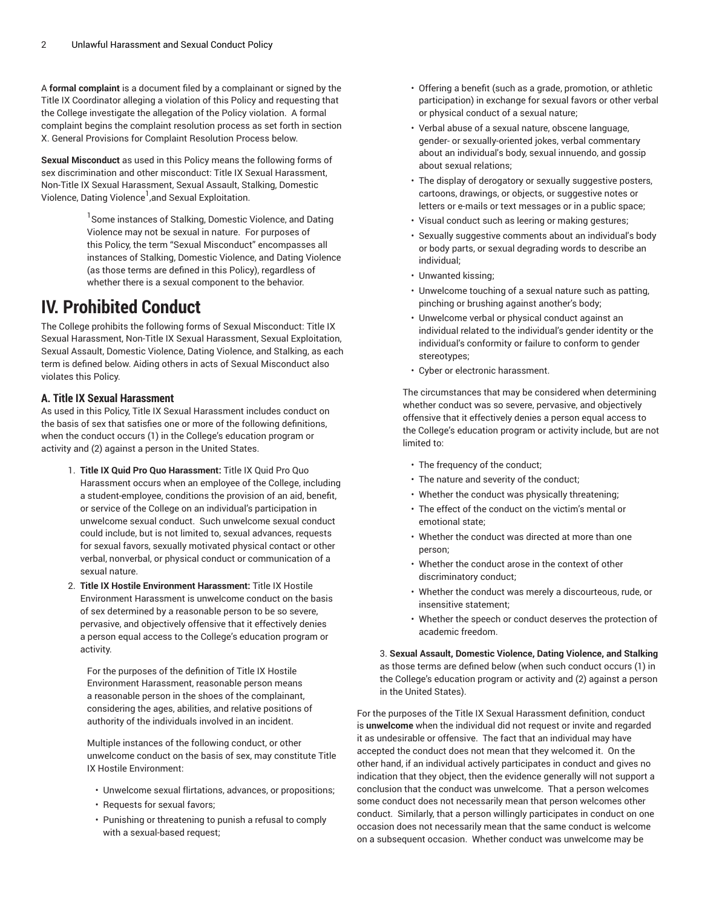A **formal complaint** is a document filed by a complainant or signed by the Title IX Coordinator alleging a violation of this Policy and requesting that the College investigate the allegation of the Policy violation. A formal complaint begins the complaint resolution process as set forth in section X. General Provisions for Complaint Resolution Process below.

**Sexual Misconduct** as used in this Policy means the following forms of sex discrimination and other misconduct: Title IX Sexual Harassment, Non-Title IX Sexual Harassment, Sexual Assault, Stalking, Domestic Violence, Dating Violence<sup>1</sup>,and Sexual Exploitation.

> <sup>1</sup> Some instances of Stalking, Domestic Violence, and Dating Violence may not be sexual in nature. For purposes of this Policy, the term "Sexual Misconduct" encompasses all instances of Stalking, Domestic Violence, and Dating Violence (as those terms are defined in this Policy), regardless of whether there is a sexual component to the behavior.

# **IV. Prohibited Conduct**

The College prohibits the following forms of Sexual Misconduct: Title IX Sexual Harassment, Non-Title IX Sexual Harassment, Sexual Exploitation, Sexual Assault, Domestic Violence, Dating Violence, and Stalking, as each term is defined below. Aiding others in acts of Sexual Misconduct also violates this Policy.

# **A. Title IX Sexual Harassment**

As used in this Policy, Title IX Sexual Harassment includes conduct on the basis of sex that satisfies one or more of the following definitions, when the conduct occurs (1) in the College's education program or activity and (2) against a person in the United States.

- 1. **Title IX Quid Pro Quo Harassment:** Title IX Quid Pro Quo Harassment occurs when an employee of the College, including a student-employee, conditions the provision of an aid, benefit, or service of the College on an individual's participation in unwelcome sexual conduct. Such unwelcome sexual conduct could include, but is not limited to, sexual advances, requests for sexual favors, sexually motivated physical contact or other verbal, nonverbal, or physical conduct or communication of a sexual nature.
- 2. **Title IX Hostile Environment Harassment:** Title IX Hostile Environment Harassment is unwelcome conduct on the basis of sex determined by a reasonable person to be so severe, pervasive, and objectively offensive that it effectively denies a person equal access to the College's education program or activity.

For the purposes of the definition of Title IX Hostile Environment Harassment, reasonable person means a reasonable person in the shoes of the complainant, considering the ages, abilities, and relative positions of authority of the individuals involved in an incident.

Multiple instances of the following conduct, or other unwelcome conduct on the basis of sex, may constitute Title IX Hostile Environment:

- Unwelcome sexual flirtations, advances, or propositions;
- Requests for sexual favors;
- Punishing or threatening to punish a refusal to comply with a sexual-based request;
- Offering a benefit (such as a grade, promotion, or athletic participation) in exchange for sexual favors or other verbal or physical conduct of a sexual nature;
- Verbal abuse of a sexual nature, obscene language, gender- or sexually-oriented jokes, verbal commentary about an individual's body, sexual innuendo, and gossip about sexual relations;
- The display of derogatory or sexually suggestive posters, cartoons, drawings, or objects, or suggestive notes or letters or e-mails or text messages or in a public space;
- Visual conduct such as leering or making gestures;
- Sexually suggestive comments about an individual's body or body parts, or sexual degrading words to describe an individual;
- Unwanted kissing;
- Unwelcome touching of a sexual nature such as patting, pinching or brushing against another's body;
- Unwelcome verbal or physical conduct against an individual related to the individual's gender identity or the individual's conformity or failure to conform to gender stereotypes;
- Cyber or electronic harassment.

The circumstances that may be considered when determining whether conduct was so severe, pervasive, and objectively offensive that it effectively denies a person equal access to the College's education program or activity include, but are not limited to:

- The frequency of the conduct;
- The nature and severity of the conduct;
- Whether the conduct was physically threatening;
- The effect of the conduct on the victim's mental or emotional state;
- Whether the conduct was directed at more than one person;
- Whether the conduct arose in the context of other discriminatory conduct;
- Whether the conduct was merely a discourteous, rude, or insensitive statement;
- Whether the speech or conduct deserves the protection of academic freedom.

3. **Sexual Assault, Domestic Violence, Dating Violence, and Stalking** as those terms are defined below (when such conduct occurs (1) in the College's education program or activity and (2) against a person in the United States).

For the purposes of the Title IX Sexual Harassment definition, conduct is **unwelcome** when the individual did not request or invite and regarded it as undesirable or offensive. The fact that an individual may have accepted the conduct does not mean that they welcomed it. On the other hand, if an individual actively participates in conduct and gives no indication that they object, then the evidence generally will not support a conclusion that the conduct was unwelcome. That a person welcomes some conduct does not necessarily mean that person welcomes other conduct. Similarly, that a person willingly participates in conduct on one occasion does not necessarily mean that the same conduct is welcome on a subsequent occasion. Whether conduct was unwelcome may be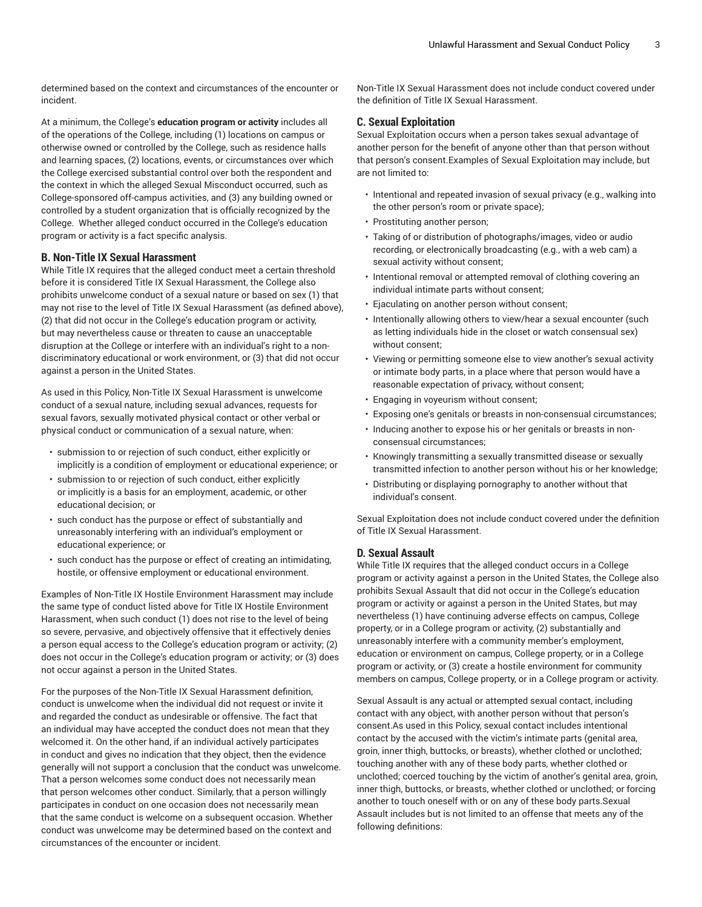determined based on the context and circumstances of the encounter or incident.

At a minimum, the College's **education program or activity** includes all of the operations of the College, including (1) locations on campus or otherwise owned or controlled by the College, such as residence halls and learning spaces, (2) locations, events, or circumstances over which the College exercised substantial control over both the respondent and the context in which the alleged Sexual Misconduct occurred, such as College-sponsored off-campus activities, and (3) any building owned or controlled by a student organization that is officially recognized by the College. Whether alleged conduct occurred in the College's education program or activity is a fact specific analysis.

## **B. Non-Title IX Sexual Harassment**

While Title IX requires that the alleged conduct meet a certain threshold before it is considered Title IX Sexual Harassment, the College also prohibits unwelcome conduct of a sexual nature or based on sex (1) that may not rise to the level of Title IX Sexual Harassment (as defined above), (2) that did not occur in the College's education program or activity, but may nevertheless cause or threaten to cause an unacceptable disruption at the College or interfere with an individual's right to a nondiscriminatory educational or work environment, or (3) that did not occur against a person in the United States.

As used in this Policy, Non-Title IX Sexual Harassment is unwelcome conduct of a sexual nature, including sexual advances, requests for sexual favors, sexually motivated physical contact or other verbal or physical conduct or communication of a sexual nature, when:

- submission to or rejection of such conduct, either explicitly or implicitly is a condition of employment or educational experience; or
- submission to or rejection of such conduct, either explicitly or implicitly is a basis for an employment, academic, or other educational decision; or
- such conduct has the purpose or effect of substantially and unreasonably interfering with an individual's employment or educational experience; or
- such conduct has the purpose or effect of creating an intimidating, hostile, or offensive employment or educational environment.

Examples of Non-Title IX Hostile Environment Harassment may include the same type of conduct listed above for Title IX Hostile Environment Harassment, when such conduct (1) does not rise to the level of being so severe, pervasive, and objectively offensive that it effectively denies a person equal access to the College's education program or activity; (2) does not occur in the College's education program or activity; or (3) does not occur against a person in the United States.

For the purposes of the Non-Title IX Sexual Harassment definition, conduct is unwelcome when the individual did not request or invite it and regarded the conduct as undesirable or offensive. The fact that an individual may have accepted the conduct does not mean that they welcomed it. On the other hand, if an individual actively participates in conduct and gives no indication that they object, then the evidence generally will not support a conclusion that the conduct was unwelcome. That a person welcomes some conduct does not necessarily mean that person welcomes other conduct. Similarly, that a person willingly participates in conduct on one occasion does not necessarily mean that the same conduct is welcome on a subsequent occasion. Whether conduct was unwelcome may be determined based on the context and circumstances of the encounter or incident.

Non-Title IX Sexual Harassment does not include conduct covered under the definition of Title IX Sexual Harassment.

## **C. Sexual Exploitation**

Sexual Exploitation occurs when a person takes sexual advantage of another person for the benefit of anyone other than that person without that person's consent.Examples of Sexual Exploitation may include, but are not limited to:

- Intentional and repeated invasion of sexual privacy (e.g., walking into the other person's room or private space);
- Prostituting another person;
- Taking of or distribution of photographs/images, video or audio recording, or electronically broadcasting (e.g., with a web cam) a sexual activity without consent;
- Intentional removal or attempted removal of clothing covering an individual intimate parts without consent;
- Ejaculating on another person without consent;
- Intentionally allowing others to view/hear a sexual encounter (such as letting individuals hide in the closet or watch consensual sex) without consent;
- Viewing or permitting someone else to view another's sexual activity or intimate body parts, in a place where that person would have a reasonable expectation of privacy, without consent;
- Engaging in voyeurism without consent;
- Exposing one's genitals or breasts in non-consensual circumstances;
- Inducing another to expose his or her genitals or breasts in nonconsensual circumstances;
- Knowingly transmitting a sexually transmitted disease or sexually transmitted infection to another person without his or her knowledge;
- Distributing or displaying pornography to another without that individual's consent.

Sexual Exploitation does not include conduct covered under the definition of Title IX Sexual Harassment.

#### **D. Sexual Assault**

While Title IX requires that the alleged conduct occurs in a College program or activity against a person in the United States, the College also prohibits Sexual Assault that did not occur in the College's education program or activity or against a person in the United States, but may nevertheless (1) have continuing adverse effects on campus, College property, or in a College program or activity, (2) substantially and unreasonably interfere with a community member's employment, education or environment on campus, College property, or in a College program or activity, or (3) create a hostile environment for community members on campus, College property, or in a College program or activity.

Sexual Assault is any actual or attempted sexual contact, including contact with any object, with another person without that person's consent.As used in this Policy, sexual contact includes intentional contact by the accused with the victim's intimate parts (genital area, groin, inner thigh, buttocks, or breasts), whether clothed or unclothed; touching another with any of these body parts, whether clothed or unclothed; coerced touching by the victim of another's genital area, groin, inner thigh, buttocks, or breasts, whether clothed or unclothed; or forcing another to touch oneself with or on any of these body parts.Sexual Assault includes but is not limited to an offense that meets any of the following definitions: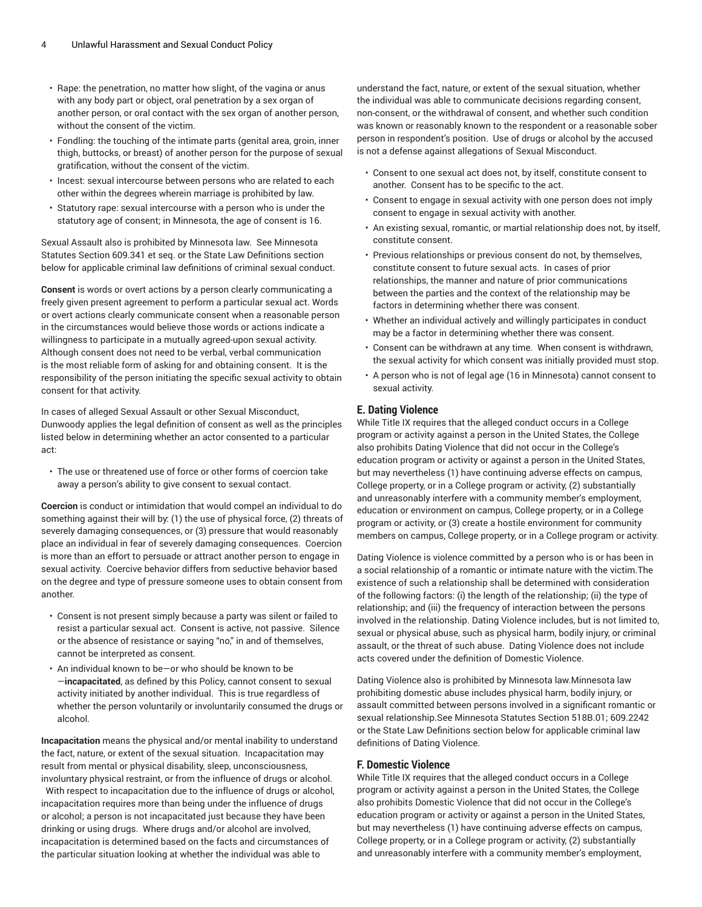- Rape: the penetration, no matter how slight, of the vagina or anus with any body part or object, oral penetration by a sex organ of another person, or oral contact with the sex organ of another person, without the consent of the victim.
- Fondling: the touching of the intimate parts (genital area, groin, inner thigh, buttocks, or breast) of another person for the purpose of sexual gratification, without the consent of the victim.
- Incest: sexual intercourse between persons who are related to each other within the degrees wherein marriage is prohibited by law.
- Statutory rape: sexual intercourse with a person who is under the statutory age of consent; in Minnesota, the age of consent is 16.

Sexual Assault also is prohibited by Minnesota law. See Minnesota Statutes Section 609.341 et seq. or the State Law Definitions section below for applicable criminal law definitions of criminal sexual conduct.

**Consent** is words or overt actions by a person clearly communicating a freely given present agreement to perform a particular sexual act. Words or overt actions clearly communicate consent when a reasonable person in the circumstances would believe those words or actions indicate a willingness to participate in a mutually agreed-upon sexual activity. Although consent does not need to be verbal, verbal communication is the most reliable form of asking for and obtaining consent. It is the responsibility of the person initiating the specific sexual activity to obtain consent for that activity.

In cases of alleged Sexual Assault or other Sexual Misconduct, Dunwoody applies the legal definition of consent as well as the principles listed below in determining whether an actor consented to a particular act:

• The use or threatened use of force or other forms of coercion take away a person's ability to give consent to sexual contact.

**Coercion** is conduct or intimidation that would compel an individual to do something against their will by: (1) the use of physical force, (2) threats of severely damaging consequences, or (3) pressure that would reasonably place an individual in fear of severely damaging consequences. Coercion is more than an effort to persuade or attract another person to engage in sexual activity. Coercive behavior differs from seductive behavior based on the degree and type of pressure someone uses to obtain consent from another.

- Consent is not present simply because a party was silent or failed to resist a particular sexual act. Consent is active, not passive. Silence or the absence of resistance or saying "no," in and of themselves, cannot be interpreted as consent.
- An individual known to be—or who should be known to be —**incapacitated**, as defined by this Policy, cannot consent to sexual activity initiated by another individual. This is true regardless of whether the person voluntarily or involuntarily consumed the drugs or alcohol.

**Incapacitation** means the physical and/or mental inability to understand the fact, nature, or extent of the sexual situation. Incapacitation may result from mental or physical disability, sleep, unconsciousness, involuntary physical restraint, or from the influence of drugs or alcohol. With respect to incapacitation due to the influence of drugs or alcohol,

incapacitation requires more than being under the influence of drugs or alcohol; a person is not incapacitated just because they have been drinking or using drugs. Where drugs and/or alcohol are involved, incapacitation is determined based on the facts and circumstances of the particular situation looking at whether the individual was able to

understand the fact, nature, or extent of the sexual situation, whether the individual was able to communicate decisions regarding consent, non-consent, or the withdrawal of consent, and whether such condition was known or reasonably known to the respondent or a reasonable sober person in respondent's position. Use of drugs or alcohol by the accused is not a defense against allegations of Sexual Misconduct.

- Consent to one sexual act does not, by itself, constitute consent to another. Consent has to be specific to the act.
- Consent to engage in sexual activity with one person does not imply consent to engage in sexual activity with another.
- An existing sexual, romantic, or martial relationship does not, by itself, constitute consent.
- Previous relationships or previous consent do not, by themselves, constitute consent to future sexual acts. In cases of prior relationships, the manner and nature of prior communications between the parties and the context of the relationship may be factors in determining whether there was consent.
- Whether an individual actively and willingly participates in conduct may be a factor in determining whether there was consent.
- Consent can be withdrawn at any time. When consent is withdrawn, the sexual activity for which consent was initially provided must stop.
- A person who is not of legal age (16 in Minnesota) cannot consent to sexual activity.

# **E. Dating Violence**

While Title IX requires that the alleged conduct occurs in a College program or activity against a person in the United States, the College also prohibits Dating Violence that did not occur in the College's education program or activity or against a person in the United States, but may nevertheless (1) have continuing adverse effects on campus, College property, or in a College program or activity, (2) substantially and unreasonably interfere with a community member's employment, education or environment on campus, College property, or in a College program or activity, or (3) create a hostile environment for community members on campus, College property, or in a College program or activity.

Dating Violence is violence committed by a person who is or has been in a social relationship of a romantic or intimate nature with the victim.The existence of such a relationship shall be determined with consideration of the following factors: (i) the length of the relationship; (ii) the type of relationship; and (iii) the frequency of interaction between the persons involved in the relationship. Dating Violence includes, but is not limited to, sexual or physical abuse, such as physical harm, bodily injury, or criminal assault, or the threat of such abuse. Dating Violence does not include acts covered under the definition of Domestic Violence.

Dating Violence also is prohibited by Minnesota law.Minnesota law prohibiting domestic abuse includes physical harm, bodily injury, or assault committed between persons involved in a significant romantic or sexual relationship.See Minnesota Statutes Section 518B.01; 609.2242 or the State Law Definitions section below for applicable criminal law definitions of Dating Violence.

### **F. Domestic Violence**

While Title IX requires that the alleged conduct occurs in a College program or activity against a person in the United States, the College also prohibits Domestic Violence that did not occur in the College's education program or activity or against a person in the United States, but may nevertheless (1) have continuing adverse effects on campus, College property, or in a College program or activity, (2) substantially and unreasonably interfere with a community member's employment,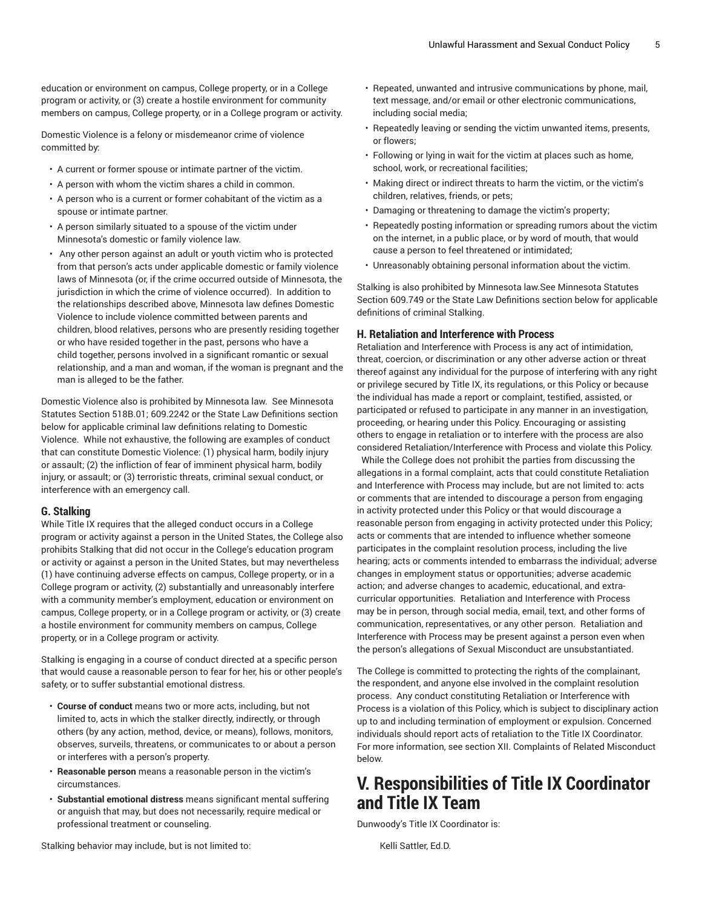education or environment on campus, College property, or in a College program or activity, or (3) create a hostile environment for community members on campus, College property, or in a College program or activity.

Domestic Violence is a felony or misdemeanor crime of violence committed by:

- A current or former spouse or intimate partner of the victim.
- A person with whom the victim shares a child in common.
- A person who is a current or former cohabitant of the victim as a spouse or intimate partner.
- A person similarly situated to a spouse of the victim under Minnesota's domestic or family violence law.
- Any other person against an adult or youth victim who is protected from that person's acts under applicable domestic or family violence laws of Minnesota (or, if the crime occurred outside of Minnesota, the jurisdiction in which the crime of violence occurred). In addition to the relationships described above, Minnesota law defines Domestic Violence to include violence committed between parents and children, blood relatives, persons who are presently residing together or who have resided together in the past, persons who have a child together, persons involved in a significant romantic or sexual relationship, and a man and woman, if the woman is pregnant and the man is alleged to be the father.

Domestic Violence also is prohibited by Minnesota law. See Minnesota Statutes Section 518B.01; 609.2242 or the State Law Definitions section below for applicable criminal law definitions relating to Domestic Violence. While not exhaustive, the following are examples of conduct that can constitute Domestic Violence: (1) physical harm, bodily injury or assault; (2) the infliction of fear of imminent physical harm, bodily injury, or assault; or (3) terroristic threats, criminal sexual conduct, or interference with an emergency call.

#### **G. Stalking**

While Title IX requires that the alleged conduct occurs in a College program or activity against a person in the United States, the College also prohibits Stalking that did not occur in the College's education program or activity or against a person in the United States, but may nevertheless (1) have continuing adverse effects on campus, College property, or in a College program or activity, (2) substantially and unreasonably interfere with a community member's employment, education or environment on campus, College property, or in a College program or activity, or (3) create a hostile environment for community members on campus, College property, or in a College program or activity.

Stalking is engaging in a course of conduct directed at a specific person that would cause a reasonable person to fear for her, his or other people's safety, or to suffer substantial emotional distress.

- **Course of conduct** means two or more acts, including, but not limited to, acts in which the stalker directly, indirectly, or through others (by any action, method, device, or means), follows, monitors, observes, surveils, threatens, or communicates to or about a person or interferes with a person's property.
- **Reasonable person** means a reasonable person in the victim's circumstances.
- **Substantial emotional distress** means significant mental suffering or anguish that may, but does not necessarily, require medical or professional treatment or counseling.

• Repeated, unwanted and intrusive communications by phone, mail, text message, and/or email or other electronic communications, including social media;

- Repeatedly leaving or sending the victim unwanted items, presents, or flowers;
- Following or lying in wait for the victim at places such as home, school, work, or recreational facilities;
- Making direct or indirect threats to harm the victim, or the victim's children, relatives, friends, or pets;
- Damaging or threatening to damage the victim's property;
- Repeatedly posting information or spreading rumors about the victim on the internet, in a public place, or by word of mouth, that would cause a person to feel threatened or intimidated;
- Unreasonably obtaining personal information about the victim.

Stalking is also prohibited by Minnesota law.See Minnesota Statutes Section 609.749 or the State Law Definitions section below for applicable definitions of criminal Stalking.

#### **H. Retaliation and Interference with Process**

Retaliation and Interference with Process is any act of intimidation, threat, coercion, or discrimination or any other adverse action or threat thereof against any individual for the purpose of interfering with any right or privilege secured by Title IX, its regulations, or this Policy or because the individual has made a report or complaint, testified, assisted, or participated or refused to participate in any manner in an investigation, proceeding, or hearing under this Policy. Encouraging or assisting others to engage in retaliation or to interfere with the process are also considered Retaliation/Interference with Process and violate this Policy.

While the College does not prohibit the parties from discussing the allegations in a formal complaint, acts that could constitute Retaliation and Interference with Process may include, but are not limited to: acts or comments that are intended to discourage a person from engaging in activity protected under this Policy or that would discourage a reasonable person from engaging in activity protected under this Policy; acts or comments that are intended to influence whether someone participates in the complaint resolution process, including the live hearing; acts or comments intended to embarrass the individual; adverse changes in employment status or opportunities; adverse academic action; and adverse changes to academic, educational, and extracurricular opportunities. Retaliation and Interference with Process may be in person, through social media, email, text, and other forms of communication, representatives, or any other person. Retaliation and Interference with Process may be present against a person even when the person's allegations of Sexual Misconduct are unsubstantiated.

The College is committed to protecting the rights of the complainant, the respondent, and anyone else involved in the complaint resolution process. Any conduct constituting Retaliation or Interference with Process is a violation of this Policy, which is subject to disciplinary action up to and including termination of employment or expulsion. Concerned individuals should report acts of retaliation to the Title IX Coordinator. For more information, see section XII. Complaints of Related Misconduct below.

# **V. Responsibilities of Title IX Coordinator and Title IX Team**

Dunwoody's Title IX Coordinator is:

Kelli Sattler, Ed.D.

Stalking behavior may include, but is not limited to: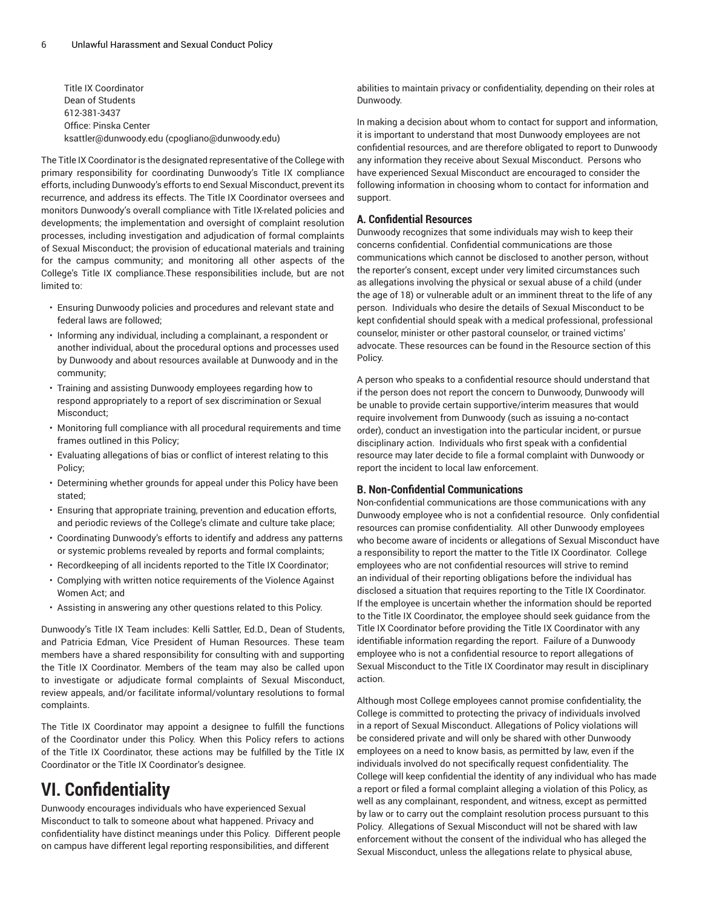Title IX Coordinator Dean of Students 612-381-3437 Office: Pinska Center [ksattler@dunwoody.edu](mailto:cpogliano@dunwoody.edu) [\(cpogliano@dunwoody.edu\)](cpogliano@dunwoody.edu)

The Title IX Coordinator is the designated representative of the College with primary responsibility for coordinating Dunwoody's Title IX compliance efforts, including Dunwoody's efforts to end Sexual Misconduct, prevent its recurrence, and address its effects. The Title IX Coordinator oversees and monitors Dunwoody's overall compliance with Title IX-related policies and developments; the implementation and oversight of complaint resolution processes, including investigation and adjudication of formal complaints of Sexual Misconduct; the provision of educational materials and training for the campus community; and monitoring all other aspects of the College's Title IX compliance.These responsibilities include, but are not limited to:

- Ensuring Dunwoody policies and procedures and relevant state and federal laws are followed;
- Informing any individual, including a complainant, a respondent or another individual, about the procedural options and processes used by Dunwoody and about resources available at Dunwoody and in the community;
- Training and assisting Dunwoody employees regarding how to respond appropriately to a report of sex discrimination or Sexual Misconduct;
- Monitoring full compliance with all procedural requirements and time frames outlined in this Policy;
- Evaluating allegations of bias or conflict of interest relating to this Policy;
- Determining whether grounds for appeal under this Policy have been stated;
- Ensuring that appropriate training, prevention and education efforts, and periodic reviews of the College's climate and culture take place;
- Coordinating Dunwoody's efforts to identify and address any patterns or systemic problems revealed by reports and formal complaints;
- Recordkeeping of all incidents reported to the Title IX Coordinator;
- Complying with written notice requirements of the Violence Against Women Act; and
- Assisting in answering any other questions related to this Policy.

Dunwoody's Title IX Team includes: Kelli Sattler, Ed.D., Dean of Students, and Patricia Edman, Vice President of Human Resources. These team members have a shared responsibility for consulting with and supporting the Title IX Coordinator. Members of the team may also be called upon to investigate or adjudicate formal complaints of Sexual Misconduct, review appeals, and/or facilitate informal/voluntary resolutions to formal complaints.

The Title IX Coordinator may appoint a designee to fulfill the functions of the Coordinator under this Policy. When this Policy refers to actions of the Title IX Coordinator, these actions may be fulfilled by the Title IX Coordinator or the Title IX Coordinator's designee.

# **VI. Confidentiality**

Dunwoody encourages individuals who have experienced Sexual Misconduct to talk to someone about what happened. Privacy and confidentiality have distinct meanings under this Policy. Different people on campus have different legal reporting responsibilities, and different

abilities to maintain privacy or confidentiality, depending on their roles at Dunwoody.

In making a decision about whom to contact for support and information, it is important to understand that most Dunwoody employees are not confidential resources, and are therefore obligated to report to Dunwoody any information they receive about Sexual Misconduct. Persons who have experienced Sexual Misconduct are encouraged to consider the following information in choosing whom to contact for information and support.

## **A. Confidential Resources**

Dunwoody recognizes that some individuals may wish to keep their concerns confidential. Confidential communications are those communications which cannot be disclosed to another person, without the reporter's consent, except under very limited circumstances such as allegations involving the physical or sexual abuse of a child (under the age of 18) or vulnerable adult or an imminent threat to the life of any person. Individuals who desire the details of Sexual Misconduct to be kept confidential should speak with a medical professional, professional counselor, minister or other pastoral counselor, or trained victims' advocate. These resources can be found in the Resource section of this Policy.

A person who speaks to a confidential resource should understand that if the person does not report the concern to Dunwoody, Dunwoody will be unable to provide certain supportive/interim measures that would require involvement from Dunwoody (such as issuing a no-contact order), conduct an investigation into the particular incident, or pursue disciplinary action. Individuals who first speak with a confidential resource may later decide to file a formal complaint with Dunwoody or report the incident to local law enforcement.

# **B. Non-Confidential Communications**

Non-confidential communications are those communications with any Dunwoody employee who is not a confidential resource. Only confidential resources can promise confidentiality. All other Dunwoody employees who become aware of incidents or allegations of Sexual Misconduct have a responsibility to report the matter to the Title IX Coordinator. College employees who are not confidential resources will strive to remind an individual of their reporting obligations before the individual has disclosed a situation that requires reporting to the Title IX Coordinator. If the employee is uncertain whether the information should be reported to the Title IX Coordinator, the employee should seek guidance from the Title IX Coordinator before providing the Title IX Coordinator with any identifiable information regarding the report. Failure of a Dunwoody employee who is not a confidential resource to report allegations of Sexual Misconduct to the Title IX Coordinator may result in disciplinary action.

Although most College employees cannot promise confidentiality, the College is committed to protecting the privacy of individuals involved in a report of Sexual Misconduct. Allegations of Policy violations will be considered private and will only be shared with other Dunwoody employees on a need to know basis, as permitted by law, even if the individuals involved do not specifically request confidentiality. The College will keep confidential the identity of any individual who has made a report or filed a formal complaint alleging a violation of this Policy, as well as any complainant, respondent, and witness, except as permitted by law or to carry out the complaint resolution process pursuant to this Policy. Allegations of Sexual Misconduct will not be shared with law enforcement without the consent of the individual who has alleged the Sexual Misconduct, unless the allegations relate to physical abuse,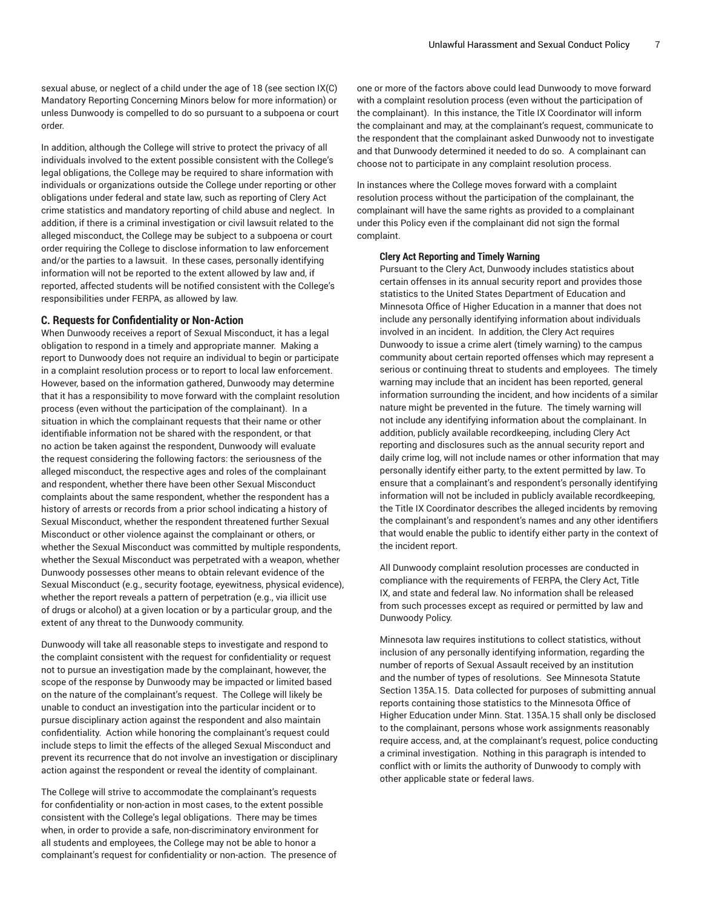sexual abuse, or neglect of a child under the age of 18 (see section IX(C) Mandatory Reporting Concerning Minors below for more information) or unless Dunwoody is compelled to do so pursuant to a subpoena or court order.

In addition, although the College will strive to protect the privacy of all individuals involved to the extent possible consistent with the College's legal obligations, the College may be required to share information with individuals or organizations outside the College under reporting or other obligations under federal and state law, such as reporting of Clery Act crime statistics and mandatory reporting of child abuse and neglect. In addition, if there is a criminal investigation or civil lawsuit related to the alleged misconduct, the College may be subject to a subpoena or court order requiring the College to disclose information to law enforcement and/or the parties to a lawsuit. In these cases, personally identifying information will not be reported to the extent allowed by law and, if reported, affected students will be notified consistent with the College's responsibilities under FERPA, as allowed by law.

## **C. Requests for Confidentiality or Non-Action**

When Dunwoody receives a report of Sexual Misconduct, it has a legal obligation to respond in a timely and appropriate manner. Making a report to Dunwoody does not require an individual to begin or participate in a complaint resolution process or to report to local law enforcement. However, based on the information gathered, Dunwoody may determine that it has a responsibility to move forward with the complaint resolution process (even without the participation of the complainant). In a situation in which the complainant requests that their name or other identifiable information not be shared with the respondent, or that no action be taken against the respondent, Dunwoody will evaluate the request considering the following factors: the seriousness of the alleged misconduct, the respective ages and roles of the complainant and respondent, whether there have been other Sexual Misconduct complaints about the same respondent, whether the respondent has a history of arrests or records from a prior school indicating a history of Sexual Misconduct, whether the respondent threatened further Sexual Misconduct or other violence against the complainant or others, or whether the Sexual Misconduct was committed by multiple respondents, whether the Sexual Misconduct was perpetrated with a weapon, whether Dunwoody possesses other means to obtain relevant evidence of the Sexual Misconduct (e.g., security footage, eyewitness, physical evidence), whether the report reveals a pattern of perpetration (e.g., via illicit use of drugs or alcohol) at a given location or by a particular group, and the extent of any threat to the Dunwoody community.

Dunwoody will take all reasonable steps to investigate and respond to the complaint consistent with the request for confidentiality or request not to pursue an investigation made by the complainant, however, the scope of the response by Dunwoody may be impacted or limited based on the nature of the complainant's request. The College will likely be unable to conduct an investigation into the particular incident or to pursue disciplinary action against the respondent and also maintain confidentiality. Action while honoring the complainant's request could include steps to limit the effects of the alleged Sexual Misconduct and prevent its recurrence that do not involve an investigation or disciplinary action against the respondent or reveal the identity of complainant.

The College will strive to accommodate the complainant's requests for confidentiality or non-action in most cases, to the extent possible consistent with the College's legal obligations. There may be times when, in order to provide a safe, non-discriminatory environment for all students and employees, the College may not be able to honor a complainant's request for confidentiality or non-action. The presence of one or more of the factors above could lead Dunwoody to move forward with a complaint resolution process (even without the participation of the complainant). In this instance, the Title IX Coordinator will inform the complainant and may, at the complainant's request, communicate to the respondent that the complainant asked Dunwoody not to investigate and that Dunwoody determined it needed to do so. A complainant can choose not to participate in any complaint resolution process.

In instances where the College moves forward with a complaint resolution process without the participation of the complainant, the complainant will have the same rights as provided to a complainant under this Policy even if the complainant did not sign the formal complaint.

#### **Clery Act Reporting and Timely Warning**

Pursuant to the Clery Act, Dunwoody includes statistics about certain offenses in its annual security report and provides those statistics to the United States Department of Education and Minnesota Office of Higher Education in a manner that does not include any personally identifying information about individuals involved in an incident. In addition, the Clery Act requires Dunwoody to issue a crime alert (timely warning) to the campus community about certain reported offenses which may represent a serious or continuing threat to students and employees. The timely warning may include that an incident has been reported, general information surrounding the incident, and how incidents of a similar nature might be prevented in the future. The timely warning will not include any identifying information about the complainant. In addition, publicly available recordkeeping, including Clery Act reporting and disclosures such as the annual security report and daily crime log, will not include names or other information that may personally identify either party, to the extent permitted by law. To ensure that a complainant's and respondent's personally identifying information will not be included in publicly available recordkeeping, the Title IX Coordinator describes the alleged incidents by removing the complainant's and respondent's names and any other identifiers that would enable the public to identify either party in the context of the incident report.

All Dunwoody complaint resolution processes are conducted in compliance with the requirements of FERPA, the Clery Act, Title IX, and state and federal law. No information shall be released from such processes except as required or permitted by law and Dunwoody Policy.

Minnesota law requires institutions to collect statistics, without inclusion of any personally identifying information, regarding the number of reports of Sexual Assault received by an institution and the number of types of resolutions. See Minnesota Statute Section 135A.15. Data collected for purposes of submitting annual reports containing those statistics to the Minnesota Office of Higher Education under Minn. Stat. 135A.15 shall only be disclosed to the complainant, persons whose work assignments reasonably require access, and, at the complainant's request, police conducting a criminal investigation. Nothing in this paragraph is intended to conflict with or limits the authority of Dunwoody to comply with other applicable state or federal laws.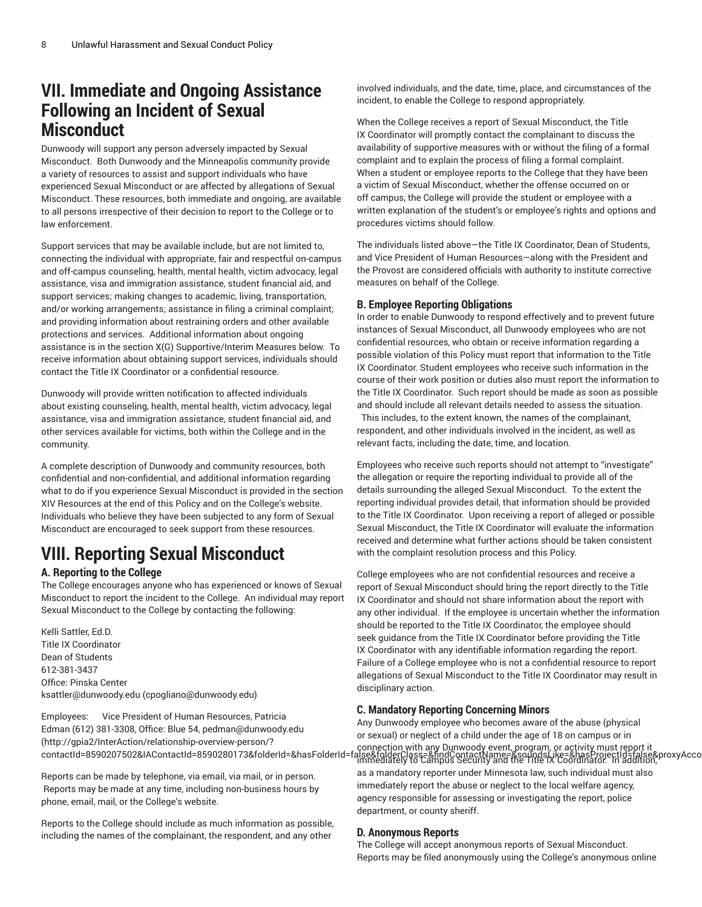# **VII. Immediate and Ongoing Assistance Following an Incident of Sexual Misconduct**

Dunwoody will support any person adversely impacted by Sexual Misconduct. Both Dunwoody and the Minneapolis community provide a variety of resources to assist and support individuals who have experienced Sexual Misconduct or are affected by allegations of Sexual Misconduct. These resources, both immediate and ongoing, are available to all persons irrespective of their decision to report to the College or to law enforcement.

Support services that may be available include, but are not limited to, connecting the individual with appropriate, fair and respectful on-campus and off-campus counseling, health, mental health, victim advocacy, legal assistance, visa and immigration assistance, student financial aid, and support services; making changes to academic, living, transportation, and/or working arrangements; assistance in filing a criminal complaint; and providing information about restraining orders and other available protections and services. Additional information about ongoing assistance is in the section X(G) Supportive/Interim Measures below. To receive information about obtaining support services, individuals should contact the Title IX Coordinator or a confidential resource.

Dunwoody will provide written notification to affected individuals about existing counseling, health, mental health, victim advocacy, legal assistance, visa and immigration assistance, student financial aid, and other services available for victims, both within the College and in the community.

A complete description of Dunwoody and community resources, both confidential and non-confidential, and additional information regarding what to do if you experience Sexual Misconduct is provided in the section XIV Resources at the end of this Policy and on the College's website. Individuals who believe they have been subjected to any form of Sexual Misconduct are encouraged to seek support from these resources.

# **VIII. Reporting Sexual Misconduct**

# **A. Reporting to the College**

The College encourages anyone who has experienced or knows of Sexual Misconduct to report the incident to the College. An individual may report Sexual Misconduct to the College by contacting the following:

Kelli Sattler, Ed.D. Title IX Coordinator Dean of Students 612-381-3437 Office: Pinska Center [ksattler@dunwoody.edu](mailto:cpogliano@dunwoody.edu) [\(cpogliano@dunwoody.edu\)](cpogliano@dunwoody.edu)

Employees: Vice President of Human Resources, Patricia Edman (612) 381-3308, Office: Blue 54, [pedman@dunwoody.edu](http://gpia2/InterAction/relationship-overview-person/?contactId=8590207502&IAContactId=8590280173&folderId=&hasFolderId=false&folderClass=&findContactName=&soundsLike=&hasProjectId=false&proxyAccount=) ([http://gpia2/InterAction/relationship-overview-person/?](http://gpia2/InterAction/relationship-overview-person/?contactId=8590207502&IAContactId=8590280173&folderId=&hasFolderId=false&folderClass=&findContactName=&soundsLike=&hasProjectId=false&proxyAccount=)

Reports can be made by telephone, via email, via mail, or in person. Reports may be made at any time, including non-business hours by phone, email, mail, or the College's website.

Reports to the College should include as much information as possible, including the names of the complainant, the respondent, and any other

involved individuals, and the date, time, place, and circumstances of the incident, to enable the College to respond appropriately.

When the College receives a report of Sexual Misconduct, the Title IX Coordinator will promptly contact the complainant to discuss the availability of supportive measures with or without the filing of a formal complaint and to explain the process of filing a formal complaint. When a student or employee reports to the College that they have been a victim of Sexual Misconduct, whether the offense occurred on or off campus, the College will provide the student or employee with a written explanation of the student's or employee's rights and options and procedures victims should follow.

The individuals listed above—the Title IX Coordinator, Dean of Students, and Vice President of Human Resources—along with the President and the Provost are considered officials with authority to institute corrective measures on behalf of the College.

# **B. Employee Reporting Obligations**

In order to enable Dunwoody to respond effectively and to prevent future instances of Sexual Misconduct, all Dunwoody employees who are not confidential resources, who obtain or receive information regarding a possible violation of this Policy must report that information to the Title IX Coordinator. Student employees who receive such information in the course of their work position or duties also must report the information to the Title IX Coordinator. Such report should be made as soon as possible and should include all relevant details needed to assess the situation.

 This includes, to the extent known, the names of the complainant, respondent, and other individuals involved in the incident, as well as relevant facts, including the date, time, and location.

Employees who receive such reports should not attempt to "investigate" the allegation or require the reporting individual to provide all of the details surrounding the alleged Sexual Misconduct. To the extent the reporting individual provides detail, that information should be provided to the Title IX Coordinator. Upon receiving a report of alleged or possible Sexual Misconduct, the Title IX Coordinator will evaluate the information received and determine what further actions should be taken consistent with the complaint resolution process and this Policy.

College employees who are not confidential resources and receive a report of Sexual Misconduct should bring the report directly to the Title IX Coordinator and should not share information about the report with any other individual. If the employee is uncertain whether the information should be reported to the Title IX Coordinator, the employee should seek guidance from the Title IX Coordinator before providing the Title IX Coordinator with any identifiable information regarding the report. Failure of a College employee who is not a confidential resource to report allegations of Sexual Misconduct to the Title IX Coordinator may result in disciplinary action.

# **C. Mandatory Reporting Concerning Minors**

connection with any Dunwoody event, program, or activity must report it) . و connection with any Dunwoody event, program, or activity must report it<br>contactId=8590207502&IAContactId=8590280173&folderId=&hasFolderId=false& Any Dunwoody employee who becomes aware of the abuse (physical or sexual) or neglect of a child under the age of 18 on campus or in immediately to Campus Security and the Title IX Coordinator. In addition, as a mandatory reporter under Minnesota law, such individual must also immediately report the abuse or neglect to the local welfare agency, agency responsible for assessing or investigating the report, police department, or county sheriff.

# **D. Anonymous Reports**

The College will accept anonymous reports of Sexual Misconduct. Reports may be filed anonymously using the College's anonymous online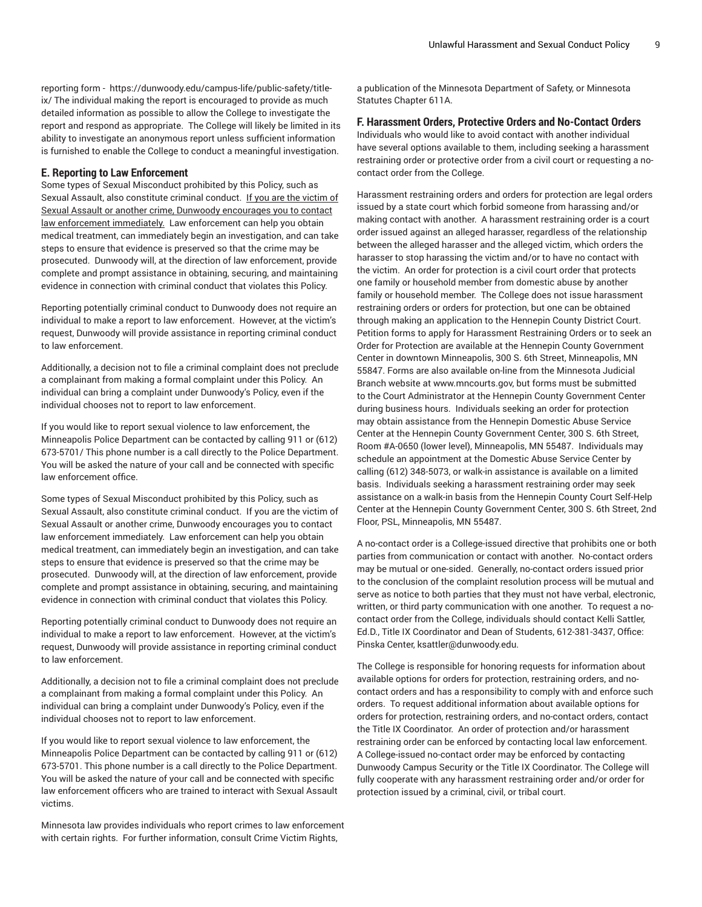reporting form - [https://dunwoody.edu/campus-life/public-safety/title](https://dunwoody.edu/campus-life/public-safety/title-ix/)[ix/](https://dunwoody.edu/campus-life/public-safety/title-ix/) The individual making the report is encouraged to provide as much detailed information as possible to allow the College to investigate the report and respond as appropriate. The College will likely be limited in its ability to investigate an anonymous report unless sufficient information is furnished to enable the College to conduct a meaningful investigation.

#### **E. Reporting to Law Enforcement**

Some types of Sexual Misconduct prohibited by this Policy, such as Sexual Assault, also constitute criminal conduct. If you are the victim of Sexual Assault or another crime, Dunwoody encourages you to contact law enforcement immediately. Law enforcement can help you obtain medical treatment, can immediately begin an investigation, and can take steps to ensure that evidence is preserved so that the crime may be prosecuted. Dunwoody will, at the direction of law enforcement, provide complete and prompt assistance in obtaining, securing, and maintaining evidence in connection with criminal conduct that violates this Policy.

Reporting potentially criminal conduct to Dunwoody does not require an individual to make a report to law enforcement. However, at the victim's request, Dunwoody will provide assistance in reporting criminal conduct to law enforcement.

Additionally, a decision not to file a criminal complaint does not preclude a complainant from making a formal complaint under this Policy. An individual can bring a complaint under Dunwoody's Policy, even if the individual chooses not to report to law enforcement.

If you would like to report sexual violence to law enforcement, the Minneapolis Police Department can be contacted by calling 911 or (612) 673-5701/ This phone number is a call directly to the Police Department. You will be asked the nature of your call and be connected with specific law enforcement office.

Some types of Sexual Misconduct prohibited by this Policy, such as Sexual Assault, also constitute criminal conduct. If you are the victim of Sexual Assault or another crime, Dunwoody encourages you to contact law enforcement immediately. Law enforcement can help you obtain medical treatment, can immediately begin an investigation, and can take steps to ensure that evidence is preserved so that the crime may be prosecuted. Dunwoody will, at the direction of law enforcement, provide complete and prompt assistance in obtaining, securing, and maintaining evidence in connection with criminal conduct that violates this Policy.

Reporting potentially criminal conduct to Dunwoody does not require an individual to make a report to law enforcement. However, at the victim's request, Dunwoody will provide assistance in reporting criminal conduct to law enforcement.

Additionally, a decision not to file a criminal complaint does not preclude a complainant from making a formal complaint under this Policy. An individual can bring a complaint under Dunwoody's Policy, even if the individual chooses not to report to law enforcement.

If you would like to report sexual violence to law enforcement, the Minneapolis Police Department can be contacted by calling 911 or (612) 673-5701. This phone number is a call directly to the Police Department. You will be asked the nature of your call and be connected with specific law enforcement officers who are trained to interact with Sexual Assault victims.

Minnesota law provides individuals who report crimes to law enforcement with certain rights. For further information, consult Crime Victim Rights,

a publication of the Minnesota Department of Safety, or Minnesota Statutes Chapter 611A.

### **F. Harassment Orders, Protective Orders and No-Contact Orders**

Individuals who would like to avoid contact with another individual have several options available to them, including seeking a harassment restraining order or protective order from a civil court or requesting a nocontact order from the College.

Harassment restraining orders and orders for protection are legal orders issued by a state court which forbid someone from harassing and/or making contact with another. A harassment restraining order is a court order issued against an alleged harasser, regardless of the relationship between the alleged harasser and the alleged victim, which orders the harasser to stop harassing the victim and/or to have no contact with the victim. An order for protection is a civil court order that protects one family or household member from domestic abuse by another family or household member. The College does not issue harassment restraining orders or orders for protection, but one can be obtained through making an application to the Hennepin County District Court. Petition forms to apply for Harassment Restraining Orders or to seek an Order for Protection are available at the Hennepin County Government Center in downtown Minneapolis, 300 S. 6th Street, Minneapolis, MN 55847. Forms are also available on-line from the Minnesota Judicial Branch website at www.mncourts.gov, but forms must be submitted to the Court Administrator at the Hennepin County Government Center during business hours. Individuals seeking an order for protection may obtain assistance from the Hennepin Domestic Abuse Service Center at the Hennepin County Government Center, 300 S. 6th Street, Room #A-0650 (lower level), Minneapolis, MN 55487. Individuals may schedule an appointment at the Domestic Abuse Service Center by calling (612) 348-5073, or walk-in assistance is available on a limited basis. Individuals seeking a harassment restraining order may seek assistance on a walk-in basis from the Hennepin County Court Self-Help Center at the Hennepin County Government Center, 300 S. 6th Street, 2nd Floor, PSL, Minneapolis, MN 55487.

A no-contact order is a College-issued directive that prohibits one or both parties from communication or contact with another. No-contact orders may be mutual or one-sided. Generally, no-contact orders issued prior to the conclusion of the complaint resolution process will be mutual and serve as notice to both parties that they must not have verbal, electronic, written, or third party communication with one another. To request a nocontact order from the College, individuals should contact Kelli Sattler, Ed.D., Title IX Coordinator and Dean of Students, 612-381-3437, Office: Pinska Center, ksattler@dunwoody.edu.

The College is responsible for honoring requests for information about available options for orders for protection, restraining orders, and nocontact orders and has a responsibility to comply with and enforce such orders. To request additional information about available options for orders for protection, restraining orders, and no-contact orders, contact the Title IX Coordinator. An order of protection and/or harassment restraining order can be enforced by contacting local law enforcement. A College-issued no-contact order may be enforced by contacting Dunwoody Campus Security or the Title IX Coordinator. The College will fully cooperate with any harassment restraining order and/or order for protection issued by a criminal, civil, or tribal court.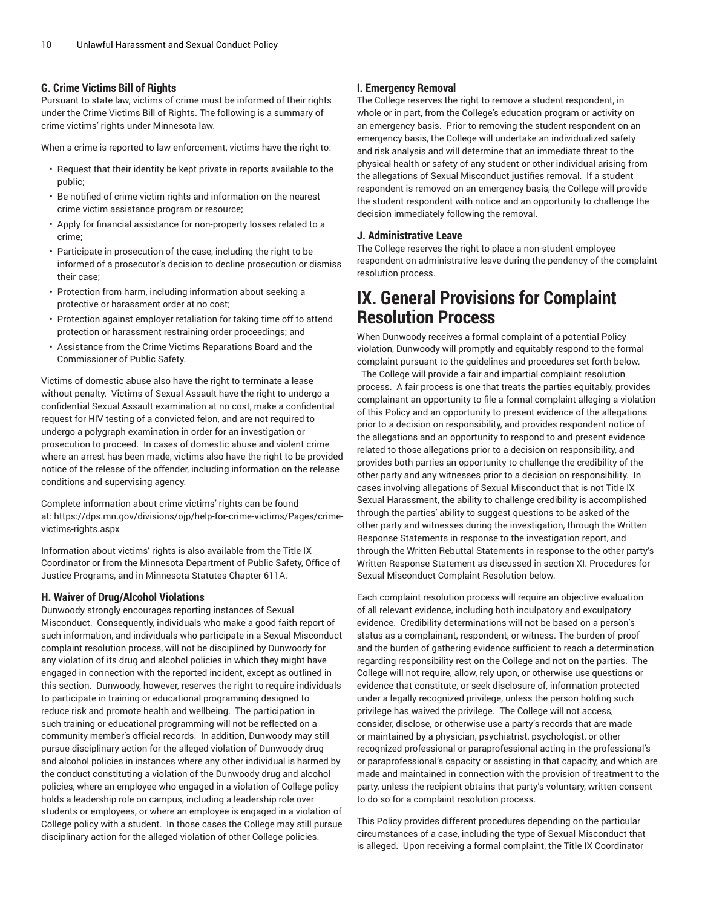# **G. Crime Victims Bill of Rights**

Pursuant to state law, victims of crime must be informed of their rights under the Crime Victims Bill of Rights. The following is a summary of crime victims' rights under Minnesota law.

When a crime is reported to law enforcement, victims have the right to:

- Request that their identity be kept private in reports available to the public;
- Be notified of crime victim rights and information on the nearest crime victim assistance program or resource;
- Apply for financial assistance for non-property losses related to a crime;
- Participate in prosecution of the case, including the right to be informed of a prosecutor's decision to decline prosecution or dismiss their case;
- Protection from harm, including information about seeking a protective or harassment order at no cost;
- Protection against employer retaliation for taking time off to attend protection or harassment restraining order proceedings; and
- Assistance from the Crime Victims Reparations Board and the Commissioner of Public Safety.

Victims of domestic abuse also have the right to terminate a lease without penalty. Victims of Sexual Assault have the right to undergo a confidential Sexual Assault examination at no cost, make a confidential request for HIV testing of a convicted felon, and are not required to undergo a polygraph examination in order for an investigation or prosecution to proceed. In cases of domestic abuse and violent crime where an arrest has been made, victims also have the right to be provided notice of the release of the offender, including information on the release conditions and supervising agency.

Complete information about crime victims' rights can be found at: [https://dps.mn.gov/divisions/ojp/help-for-crime-victims/Pages/crime](https://dps.mn.gov/divisions/ojp/help-for-crime-victims/Pages/crime-victims-rights.aspx)[victims-rights.aspx](https://dps.mn.gov/divisions/ojp/help-for-crime-victims/Pages/crime-victims-rights.aspx)

Information about victims' rights is also available from the Title IX Coordinator or from the Minnesota Department of Public Safety, Office of Justice Programs, and in Minnesota Statutes Chapter 611A.

#### **H. Waiver of Drug/Alcohol Violations**

Dunwoody strongly encourages reporting instances of Sexual Misconduct. Consequently, individuals who make a good faith report of such information, and individuals who participate in a Sexual Misconduct complaint resolution process, will not be disciplined by Dunwoody for any violation of its drug and alcohol policies in which they might have engaged in connection with the reported incident, except as outlined in this section. Dunwoody, however, reserves the right to require individuals to participate in training or educational programming designed to reduce risk and promote health and wellbeing. The participation in such training or educational programming will not be reflected on a community member's official records. In addition, Dunwoody may still pursue disciplinary action for the alleged violation of Dunwoody drug and alcohol policies in instances where any other individual is harmed by the conduct constituting a violation of the Dunwoody drug and alcohol policies, where an employee who engaged in a violation of College policy holds a leadership role on campus, including a leadership role over students or employees, or where an employee is engaged in a violation of College policy with a student. In those cases the College may still pursue disciplinary action for the alleged violation of other College policies.

# **I. Emergency Removal**

The College reserves the right to remove a student respondent, in whole or in part, from the College's education program or activity on an emergency basis. Prior to removing the student respondent on an emergency basis, the College will undertake an individualized safety and risk analysis and will determine that an immediate threat to the physical health or safety of any student or other individual arising from the allegations of Sexual Misconduct justifies removal. If a student respondent is removed on an emergency basis, the College will provide the student respondent with notice and an opportunity to challenge the decision immediately following the removal.

## **J. Administrative Leave**

The College reserves the right to place a non-student employee respondent on administrative leave during the pendency of the complaint resolution process.

# **IX. General Provisions for Complaint Resolution Process**

When Dunwoody receives a formal complaint of a potential Policy violation, Dunwoody will promptly and equitably respond to the formal complaint pursuant to the guidelines and procedures set forth below.

The College will provide a fair and impartial complaint resolution process. A fair process is one that treats the parties equitably, provides complainant an opportunity to file a formal complaint alleging a violation of this Policy and an opportunity to present evidence of the allegations prior to a decision on responsibility, and provides respondent notice of the allegations and an opportunity to respond to and present evidence related to those allegations prior to a decision on responsibility, and provides both parties an opportunity to challenge the credibility of the other party and any witnesses prior to a decision on responsibility. In cases involving allegations of Sexual Misconduct that is not Title IX Sexual Harassment, the ability to challenge credibility is accomplished through the parties' ability to suggest questions to be asked of the other party and witnesses during the investigation, through the Written Response Statements in response to the investigation report, and through the Written Rebuttal Statements in response to the other party's Written Response Statement as discussed in section XI. Procedures for Sexual Misconduct Complaint Resolution below.

Each complaint resolution process will require an objective evaluation of all relevant evidence, including both inculpatory and exculpatory evidence. Credibility determinations will not be based on a person's status as a complainant, respondent, or witness. The burden of proof and the burden of gathering evidence sufficient to reach a determination regarding responsibility rest on the College and not on the parties. The College will not require, allow, rely upon, or otherwise use questions or evidence that constitute, or seek disclosure of, information protected under a legally recognized privilege, unless the person holding such privilege has waived the privilege. The College will not access, consider, disclose, or otherwise use a party's records that are made or maintained by a physician, psychiatrist, psychologist, or other recognized professional or paraprofessional acting in the professional's or paraprofessional's capacity or assisting in that capacity, and which are made and maintained in connection with the provision of treatment to the party, unless the recipient obtains that party's voluntary, written consent to do so for a complaint resolution process.

This Policy provides different procedures depending on the particular circumstances of a case, including the type of Sexual Misconduct that is alleged. Upon receiving a formal complaint, the Title IX Coordinator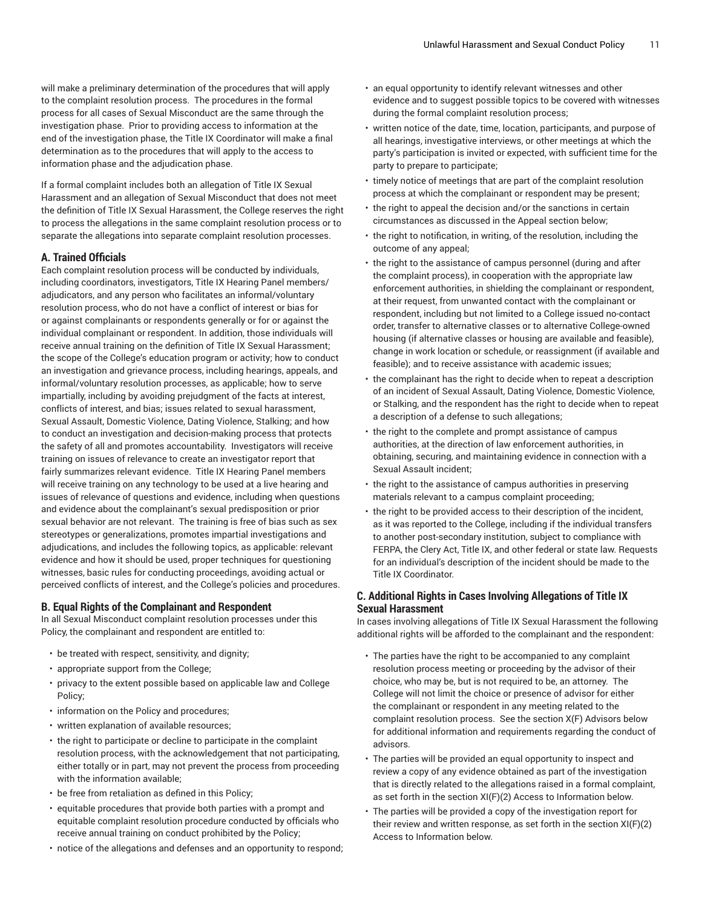will make a preliminary determination of the procedures that will apply to the complaint resolution process. The procedures in the formal process for all cases of Sexual Misconduct are the same through the investigation phase. Prior to providing access to information at the end of the investigation phase, the Title IX Coordinator will make a final determination as to the procedures that will apply to the access to information phase and the adjudication phase.

If a formal complaint includes both an allegation of Title IX Sexual Harassment and an allegation of Sexual Misconduct that does not meet the definition of Title IX Sexual Harassment, the College reserves the right to process the allegations in the same complaint resolution process or to separate the allegations into separate complaint resolution processes.

# **A. Trained Officials**

Each complaint resolution process will be conducted by individuals, including coordinators, investigators, Title IX Hearing Panel members/ adjudicators, and any person who facilitates an informal/voluntary resolution process, who do not have a conflict of interest or bias for or against complainants or respondents generally or for or against the individual complainant or respondent. In addition, those individuals will receive annual training on the definition of Title IX Sexual Harassment; the scope of the College's education program or activity; how to conduct an investigation and grievance process, including hearings, appeals, and informal/voluntary resolution processes, as applicable; how to serve impartially, including by avoiding prejudgment of the facts at interest, conflicts of interest, and bias; issues related to sexual harassment, Sexual Assault, Domestic Violence, Dating Violence, Stalking; and how to conduct an investigation and decision-making process that protects the safety of all and promotes accountability. Investigators will receive training on issues of relevance to create an investigator report that fairly summarizes relevant evidence. Title IX Hearing Panel members will receive training on any technology to be used at a live hearing and issues of relevance of questions and evidence, including when questions and evidence about the complainant's sexual predisposition or prior sexual behavior are not relevant. The training is free of bias such as sex stereotypes or generalizations, promotes impartial investigations and adjudications, and includes the following topics, as applicable: relevant evidence and how it should be used, proper techniques for questioning witnesses, basic rules for conducting proceedings, avoiding actual or perceived conflicts of interest, and the College's policies and procedures.

#### **B. Equal Rights of the Complainant and Respondent**

In all Sexual Misconduct complaint resolution processes under this Policy, the complainant and respondent are entitled to:

- be treated with respect, sensitivity, and dignity;
- appropriate support from the College;
- privacy to the extent possible based on applicable law and College Policy;
- information on the Policy and procedures;
- written explanation of available resources;
- the right to participate or decline to participate in the complaint resolution process, with the acknowledgement that not participating, either totally or in part, may not prevent the process from proceeding with the information available;
- be free from retaliation as defined in this Policy;
- equitable procedures that provide both parties with a prompt and equitable complaint resolution procedure conducted by officials who receive annual training on conduct prohibited by the Policy;
- notice of the allegations and defenses and an opportunity to respond;
- an equal opportunity to identify relevant witnesses and other evidence and to suggest possible topics to be covered with witnesses during the formal complaint resolution process;
- written notice of the date, time, location, participants, and purpose of all hearings, investigative interviews, or other meetings at which the party's participation is invited or expected, with sufficient time for the party to prepare to participate;
- timely notice of meetings that are part of the complaint resolution process at which the complainant or respondent may be present;
- the right to appeal the decision and/or the sanctions in certain circumstances as discussed in the Appeal section below;
- the right to notification, in writing, of the resolution, including the outcome of any appeal;
- the right to the assistance of campus personnel (during and after the complaint process), in cooperation with the appropriate law enforcement authorities, in shielding the complainant or respondent, at their request, from unwanted contact with the complainant or respondent, including but not limited to a College issued no-contact order, transfer to alternative classes or to alternative College-owned housing (if alternative classes or housing are available and feasible), change in work location or schedule, or reassignment (if available and feasible); and to receive assistance with academic issues;
- the complainant has the right to decide when to repeat a description of an incident of Sexual Assault, Dating Violence, Domestic Violence, or Stalking, and the respondent has the right to decide when to repeat a description of a defense to such allegations;
- the right to the complete and prompt assistance of campus authorities, at the direction of law enforcement authorities, in obtaining, securing, and maintaining evidence in connection with a Sexual Assault incident;
- the right to the assistance of campus authorities in preserving materials relevant to a campus complaint proceeding;
- the right to be provided access to their description of the incident, as it was reported to the College, including if the individual transfers to another post-secondary institution, subject to compliance with FERPA, the Clery Act, Title IX, and other federal or state law. Requests for an individual's description of the incident should be made to the Title IX Coordinator.

# **C. Additional Rights in Cases Involving Allegations of Title IX Sexual Harassment**

In cases involving allegations of Title IX Sexual Harassment the following additional rights will be afforded to the complainant and the respondent:

- The parties have the right to be accompanied to any complaint resolution process meeting or proceeding by the advisor of their choice, who may be, but is not required to be, an attorney. The College will not limit the choice or presence of advisor for either the complainant or respondent in any meeting related to the complaint resolution process. See the section X(F) Advisors below for additional information and requirements regarding the conduct of advisors.
- The parties will be provided an equal opportunity to inspect and review a copy of any evidence obtained as part of the investigation that is directly related to the allegations raised in a formal complaint, as set forth in the section XI(F)(2) Access to Information below.
- The parties will be provided a copy of the investigation report for their review and written response, as set forth in the section XI(F)(2) Access to Information below.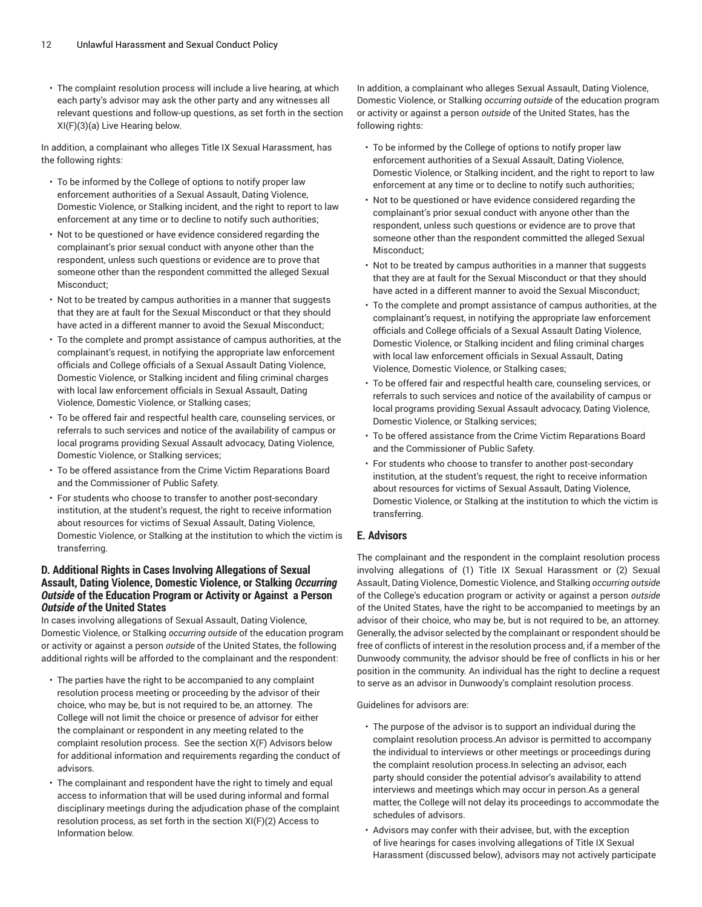• The complaint resolution process will include a live hearing, at which each party's advisor may ask the other party and any witnesses all relevant questions and follow-up questions, as set forth in the section XI(F)(3)(a) Live Hearing below.

In addition, a complainant who alleges Title IX Sexual Harassment, has the following rights:

- To be informed by the College of options to notify proper law enforcement authorities of a Sexual Assault, Dating Violence, Domestic Violence, or Stalking incident, and the right to report to law enforcement at any time or to decline to notify such authorities;
- Not to be questioned or have evidence considered regarding the complainant's prior sexual conduct with anyone other than the respondent, unless such questions or evidence are to prove that someone other than the respondent committed the alleged Sexual Misconduct;
- Not to be treated by campus authorities in a manner that suggests that they are at fault for the Sexual Misconduct or that they should have acted in a different manner to avoid the Sexual Misconduct;
- To the complete and prompt assistance of campus authorities, at the complainant's request, in notifying the appropriate law enforcement officials and College officials of a Sexual Assault Dating Violence, Domestic Violence, or Stalking incident and filing criminal charges with local law enforcement officials in Sexual Assault, Dating Violence, Domestic Violence, or Stalking cases;
- To be offered fair and respectful health care, counseling services, or referrals to such services and notice of the availability of campus or local programs providing Sexual Assault advocacy, Dating Violence, Domestic Violence, or Stalking services;
- To be offered assistance from the Crime Victim Reparations Board and the Commissioner of Public Safety.
- For students who choose to transfer to another post-secondary institution, at the student's request, the right to receive information about resources for victims of Sexual Assault, Dating Violence, Domestic Violence, or Stalking at the institution to which the victim is transferring.

# **D. Additional Rights in Cases Involving Allegations of Sexual Assault, Dating Violence, Domestic Violence, or Stalking** *Occurring Outside* **of the Education Program or Activity or Against a Person** *Outside of* **the United States**

In cases involving allegations of Sexual Assault, Dating Violence, Domestic Violence, or Stalking *occurring outside* of the education program or activity or against a person *outside* of the United States, the following additional rights will be afforded to the complainant and the respondent:

- The parties have the right to be accompanied to any complaint resolution process meeting or proceeding by the advisor of their choice, who may be, but is not required to be, an attorney. The College will not limit the choice or presence of advisor for either the complainant or respondent in any meeting related to the complaint resolution process. See the section X(F) Advisors below for additional information and requirements regarding the conduct of advisors.
- The complainant and respondent have the right to timely and equal access to information that will be used during informal and formal disciplinary meetings during the adjudication phase of the complaint resolution process, as set forth in the section XI(F)(2) Access to Information below.

In addition, a complainant who alleges Sexual Assault, Dating Violence, Domestic Violence, or Stalking *occurring outside* of the education program or activity or against a person *outside* of the United States, has the following rights:

- To be informed by the College of options to notify proper law enforcement authorities of a Sexual Assault, Dating Violence, Domestic Violence, or Stalking incident, and the right to report to law enforcement at any time or to decline to notify such authorities;
- Not to be questioned or have evidence considered regarding the complainant's prior sexual conduct with anyone other than the respondent, unless such questions or evidence are to prove that someone other than the respondent committed the alleged Sexual Misconduct;
- Not to be treated by campus authorities in a manner that suggests that they are at fault for the Sexual Misconduct or that they should have acted in a different manner to avoid the Sexual Misconduct;
- To the complete and prompt assistance of campus authorities, at the complainant's request, in notifying the appropriate law enforcement officials and College officials of a Sexual Assault Dating Violence, Domestic Violence, or Stalking incident and filing criminal charges with local law enforcement officials in Sexual Assault, Dating Violence, Domestic Violence, or Stalking cases;
- To be offered fair and respectful health care, counseling services, or referrals to such services and notice of the availability of campus or local programs providing Sexual Assault advocacy, Dating Violence, Domestic Violence, or Stalking services;
- To be offered assistance from the Crime Victim Reparations Board and the Commissioner of Public Safety.
- For students who choose to transfer to another post-secondary institution, at the student's request, the right to receive information about resources for victims of Sexual Assault, Dating Violence, Domestic Violence, or Stalking at the institution to which the victim is transferring.

# **E. Advisors**

The complainant and the respondent in the complaint resolution process involving allegations of (1) Title IX Sexual Harassment or (2) Sexual Assault, Dating Violence, Domestic Violence, and Stalking *occurring outside* of the College's education program or activity or against a person *outside* of the United States, have the right to be accompanied to meetings by an advisor of their choice, who may be, but is not required to be, an attorney. Generally, the advisor selected by the complainant or respondent should be free of conflicts of interest in the resolution process and, if a member of the Dunwoody community, the advisor should be free of conflicts in his or her position in the community. An individual has the right to decline a request to serve as an advisor in Dunwoody's complaint resolution process.

Guidelines for advisors are:

- The purpose of the advisor is to support an individual during the complaint resolution process.An advisor is permitted to accompany the individual to interviews or other meetings or proceedings during the complaint resolution process.In selecting an advisor, each party should consider the potential advisor's availability to attend interviews and meetings which may occur in person.As a general matter, the College will not delay its proceedings to accommodate the schedules of advisors.
- Advisors may confer with their advisee, but, with the exception of live hearings for cases involving allegations of Title IX Sexual Harassment (discussed below), advisors may not actively participate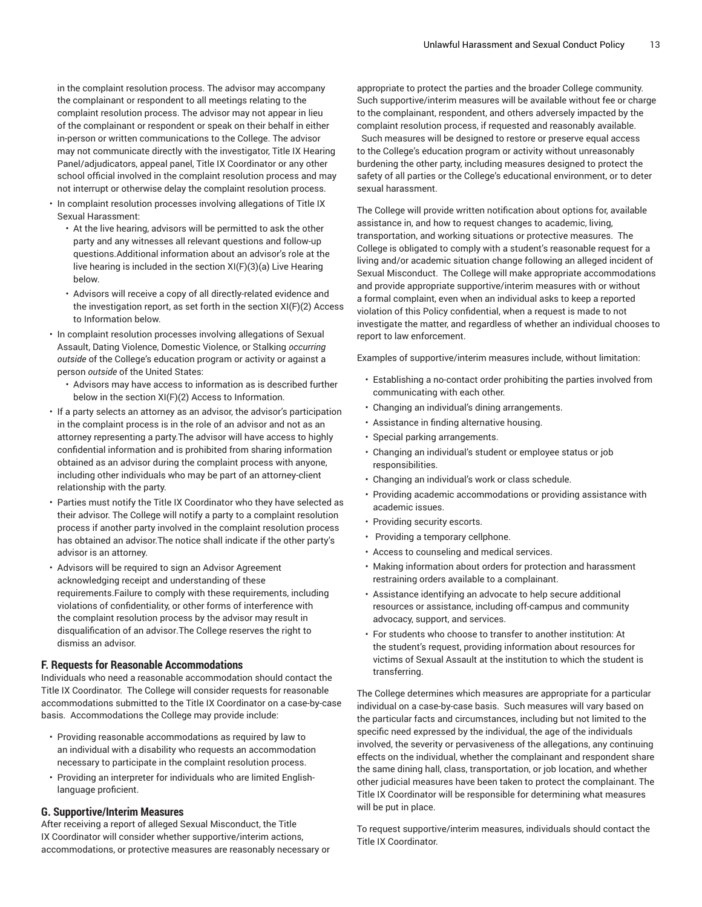in the complaint resolution process. The advisor may accompany the complainant or respondent to all meetings relating to the complaint resolution process. The advisor may not appear in lieu of the complainant or respondent or speak on their behalf in either in-person or written communications to the College. The advisor may not communicate directly with the investigator, Title IX Hearing Panel/adjudicators, appeal panel, Title IX Coordinator or any other school official involved in the complaint resolution process and may not interrupt or otherwise delay the complaint resolution process.

- In complaint resolution processes involving allegations of Title IX Sexual Harassment:
	- At the live hearing, advisors will be permitted to ask the other party and any witnesses all relevant questions and follow-up questions.Additional information about an advisor's role at the live hearing is included in the section XI(F)(3)(a) Live Hearing below.
	- Advisors will receive a copy of all directly-related evidence and the investigation report, as set forth in the section XI(F)(2) Access to Information below.
- In complaint resolution processes involving allegations of Sexual Assault, Dating Violence, Domestic Violence, or Stalking *occurring outside* of the College's education program or activity or against a person *outside* of the United States:
	- Advisors may have access to information as is described further below in the section XI(F)(2) Access to Information.
- If a party selects an attorney as an advisor, the advisor's participation in the complaint process is in the role of an advisor and not as an attorney representing a party.The advisor will have access to highly confidential information and is prohibited from sharing information obtained as an advisor during the complaint process with anyone, including other individuals who may be part of an attorney-client relationship with the party.
- Parties must notify the Title IX Coordinator who they have selected as their advisor. The College will notify a party to a complaint resolution process if another party involved in the complaint resolution process has obtained an advisor.The notice shall indicate if the other party's advisor is an attorney.
- Advisors will be required to sign an Advisor Agreement acknowledging receipt and understanding of these requirements.Failure to comply with these requirements, including violations of confidentiality, or other forms of interference with the complaint resolution process by the advisor may result in disqualification of an advisor.The College reserves the right to dismiss an advisor.

#### **F. Requests for Reasonable Accommodations**

Individuals who need a reasonable accommodation should contact the Title IX Coordinator. The College will consider requests for reasonable accommodations submitted to the Title IX Coordinator on a case-by-case basis. Accommodations the College may provide include:

- Providing reasonable accommodations as required by law to an individual with a disability who requests an accommodation necessary to participate in the complaint resolution process.
- Providing an interpreter for individuals who are limited Englishlanguage proficient.

#### **G. Supportive/Interim Measures**

After receiving a report of alleged Sexual Misconduct, the Title IX Coordinator will consider whether supportive/interim actions, accommodations, or protective measures are reasonably necessary or

appropriate to protect the parties and the broader College community. Such supportive/interim measures will be available without fee or charge to the complainant, respondent, and others adversely impacted by the complaint resolution process, if requested and reasonably available.

Such measures will be designed to restore or preserve equal access to the College's education program or activity without unreasonably burdening the other party, including measures designed to protect the safety of all parties or the College's educational environment, or to deter sexual harassment.

The College will provide written notification about options for, available assistance in, and how to request changes to academic, living, transportation, and working situations or protective measures. The College is obligated to comply with a student's reasonable request for a living and/or academic situation change following an alleged incident of Sexual Misconduct. The College will make appropriate accommodations and provide appropriate supportive/interim measures with or without a formal complaint, even when an individual asks to keep a reported violation of this Policy confidential, when a request is made to not investigate the matter, and regardless of whether an individual chooses to report to law enforcement.

Examples of supportive/interim measures include, without limitation:

- Establishing a no-contact order prohibiting the parties involved from communicating with each other.
- Changing an individual's dining arrangements.
- Assistance in finding alternative housing.
- Special parking arrangements.
- Changing an individual's student or employee status or job responsibilities.
- Changing an individual's work or class schedule.
- Providing academic accommodations or providing assistance with academic issues.
- Providing security escorts.
- Providing a temporary cellphone.
- Access to counseling and medical services.
- Making information about orders for protection and harassment restraining orders available to a complainant.
- Assistance identifying an advocate to help secure additional resources or assistance, including off-campus and community advocacy, support, and services.
- For students who choose to transfer to another institution: At the student's request, providing information about resources for victims of Sexual Assault at the institution to which the student is transferring.

The College determines which measures are appropriate for a particular individual on a case-by-case basis. Such measures will vary based on the particular facts and circumstances, including but not limited to the specific need expressed by the individual, the age of the individuals involved, the severity or pervasiveness of the allegations, any continuing effects on the individual, whether the complainant and respondent share the same dining hall, class, transportation, or job location, and whether other judicial measures have been taken to protect the complainant. The Title IX Coordinator will be responsible for determining what measures will be put in place.

To request supportive/interim measures, individuals should contact the Title IX Coordinator.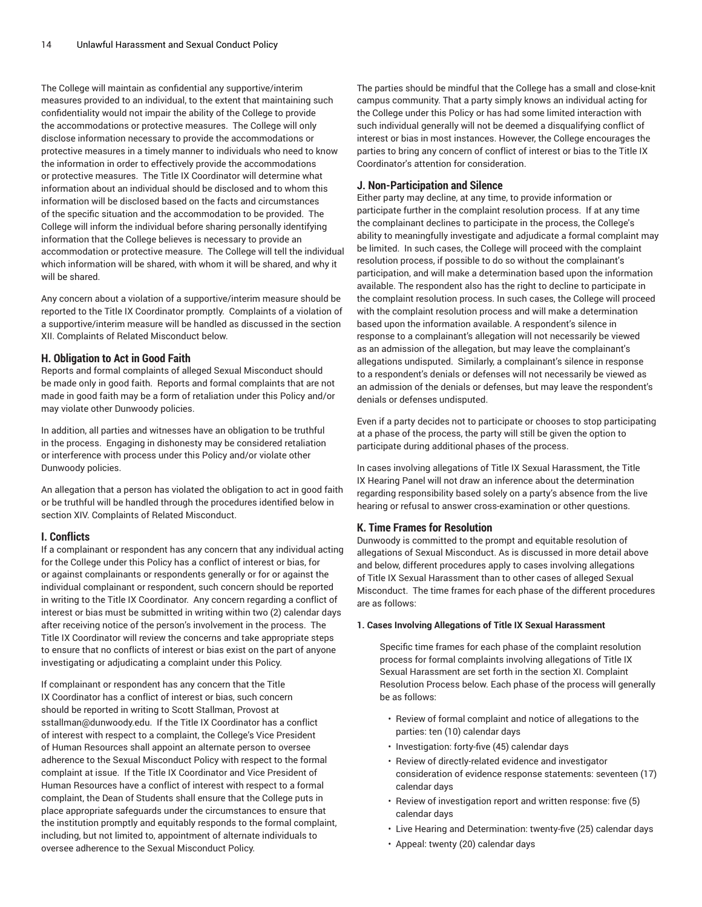The College will maintain as confidential any supportive/interim measures provided to an individual, to the extent that maintaining such confidentiality would not impair the ability of the College to provide the accommodations or protective measures. The College will only disclose information necessary to provide the accommodations or protective measures in a timely manner to individuals who need to know the information in order to effectively provide the accommodations or protective measures. The Title IX Coordinator will determine what information about an individual should be disclosed and to whom this information will be disclosed based on the facts and circumstances of the specific situation and the accommodation to be provided. The College will inform the individual before sharing personally identifying information that the College believes is necessary to provide an accommodation or protective measure. The College will tell the individual which information will be shared, with whom it will be shared, and why it will be shared.

Any concern about a violation of a supportive/interim measure should be reported to the Title IX Coordinator promptly. Complaints of a violation of a supportive/interim measure will be handled as discussed in the section XII. Complaints of Related Misconduct below.

## **H. Obligation to Act in Good Faith**

Reports and formal complaints of alleged Sexual Misconduct should be made only in good faith. Reports and formal complaints that are not made in good faith may be a form of retaliation under this Policy and/or may violate other Dunwoody policies.

In addition, all parties and witnesses have an obligation to be truthful in the process. Engaging in dishonesty may be considered retaliation or interference with process under this Policy and/or violate other Dunwoody policies.

An allegation that a person has violated the obligation to act in good faith or be truthful will be handled through the procedures identified below in section XIV. Complaints of Related Misconduct.

# **I. Conflicts**

If a complainant or respondent has any concern that any individual acting for the College under this Policy has a conflict of interest or bias, for or against complainants or respondents generally or for or against the individual complainant or respondent, such concern should be reported in writing to the Title IX Coordinator. Any concern regarding a conflict of interest or bias must be submitted in writing within two (2) calendar days after receiving notice of the person's involvement in the process. The Title IX Coordinator will review the concerns and take appropriate steps to ensure that no conflicts of interest or bias exist on the part of anyone investigating or adjudicating a complaint under this Policy.

If complainant or respondent has any concern that the Title IX Coordinator has a conflict of interest or bias, such concern should be reported in writing to Scott Stallman, Provost at sstallman@dunwoody.edu. If the Title IX Coordinator has a conflict of interest with respect to a complaint, the College's Vice President of Human Resources shall appoint an alternate person to oversee adherence to the Sexual Misconduct Policy with respect to the formal complaint at issue. If the Title IX Coordinator and Vice President of Human Resources have a conflict of interest with respect to a formal complaint, the Dean of Students shall ensure that the College puts in place appropriate safeguards under the circumstances to ensure that the institution promptly and equitably responds to the formal complaint, including, but not limited to, appointment of alternate individuals to oversee adherence to the Sexual Misconduct Policy.

The parties should be mindful that the College has a small and close-knit campus community. That a party simply knows an individual acting for the College under this Policy or has had some limited interaction with such individual generally will not be deemed a disqualifying conflict of interest or bias in most instances. However, the College encourages the parties to bring any concern of conflict of interest or bias to the Title IX Coordinator's attention for consideration.

# **J. Non-Participation and Silence**

Either party may decline, at any time, to provide information or participate further in the complaint resolution process. If at any time the complainant declines to participate in the process, the College's ability to meaningfully investigate and adjudicate a formal complaint may be limited. In such cases, the College will proceed with the complaint resolution process, if possible to do so without the complainant's participation, and will make a determination based upon the information available. The respondent also has the right to decline to participate in the complaint resolution process. In such cases, the College will proceed with the complaint resolution process and will make a determination based upon the information available. A respondent's silence in response to a complainant's allegation will not necessarily be viewed as an admission of the allegation, but may leave the complainant's allegations undisputed. Similarly, a complainant's silence in response to a respondent's denials or defenses will not necessarily be viewed as an admission of the denials or defenses, but may leave the respondent's denials or defenses undisputed.

Even if a party decides not to participate or chooses to stop participating at a phase of the process, the party will still be given the option to participate during additional phases of the process.

In cases involving allegations of Title IX Sexual Harassment, the Title IX Hearing Panel will not draw an inference about the determination regarding responsibility based solely on a party's absence from the live hearing or refusal to answer cross-examination or other questions.

# **K. Time Frames for Resolution**

Dunwoody is committed to the prompt and equitable resolution of allegations of Sexual Misconduct. As is discussed in more detail above and below, different procedures apply to cases involving allegations of Title IX Sexual Harassment than to other cases of alleged Sexual Misconduct. The time frames for each phase of the different procedures are as follows:

#### **1. Cases Involving Allegations of Title IX Sexual Harassment**

Specific time frames for each phase of the complaint resolution process for formal complaints involving allegations of Title IX Sexual Harassment are set forth in the section XI. Complaint Resolution Process below. Each phase of the process will generally be as follows:

- Review of formal complaint and notice of allegations to the parties: ten (10) calendar days
- Investigation: forty-five (45) calendar days
- Review of directly-related evidence and investigator consideration of evidence response statements: seventeen (17) calendar days
- Review of investigation report and written response: five (5) calendar days
- Live Hearing and Determination: twenty-five (25) calendar days
- Appeal: twenty (20) calendar days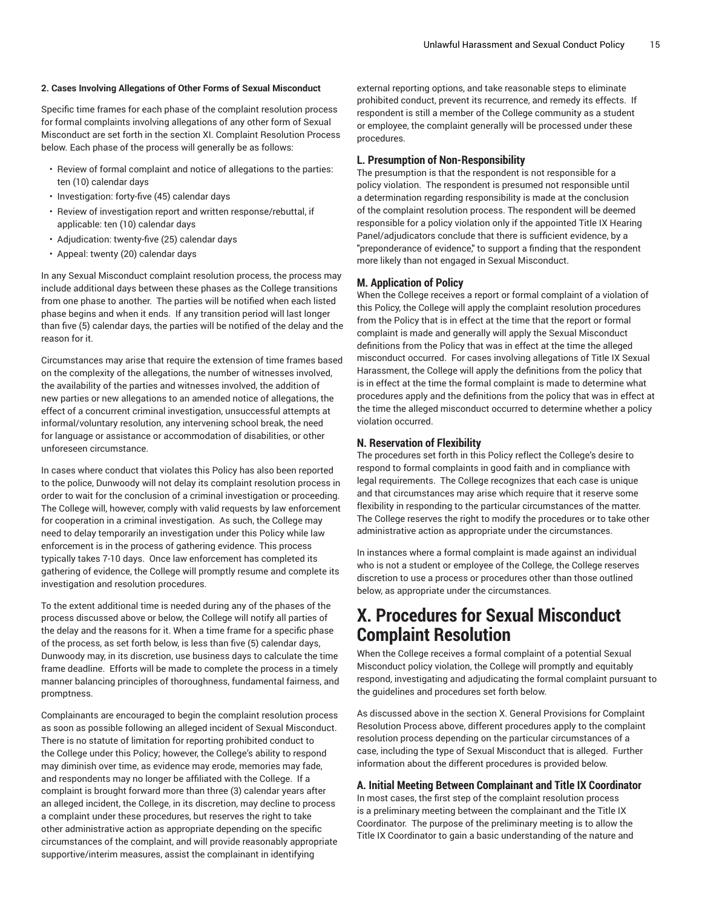#### **2. Cases Involving Allegations of Other Forms of Sexual Misconduct**

Specific time frames for each phase of the complaint resolution process for formal complaints involving allegations of any other form of Sexual Misconduct are set forth in the section XI. Complaint Resolution Process below. Each phase of the process will generally be as follows:

- Review of formal complaint and notice of allegations to the parties: ten (10) calendar days
- Investigation: forty-five (45) calendar days
- Review of investigation report and written response/rebuttal, if applicable: ten (10) calendar days
- Adjudication: twenty-five (25) calendar days
- Appeal: twenty (20) calendar days

In any Sexual Misconduct complaint resolution process, the process may include additional days between these phases as the College transitions from one phase to another. The parties will be notified when each listed phase begins and when it ends. If any transition period will last longer than five (5) calendar days, the parties will be notified of the delay and the reason for it.

Circumstances may arise that require the extension of time frames based on the complexity of the allegations, the number of witnesses involved, the availability of the parties and witnesses involved, the addition of new parties or new allegations to an amended notice of allegations, the effect of a concurrent criminal investigation, unsuccessful attempts at informal/voluntary resolution, any intervening school break, the need for language or assistance or accommodation of disabilities, or other unforeseen circumstance.

In cases where conduct that violates this Policy has also been reported to the police, Dunwoody will not delay its complaint resolution process in order to wait for the conclusion of a criminal investigation or proceeding. The College will, however, comply with valid requests by law enforcement for cooperation in a criminal investigation. As such, the College may need to delay temporarily an investigation under this Policy while law enforcement is in the process of gathering evidence. This process typically takes 7-10 days. Once law enforcement has completed its gathering of evidence, the College will promptly resume and complete its investigation and resolution procedures.

To the extent additional time is needed during any of the phases of the process discussed above or below, the College will notify all parties of the delay and the reasons for it. When a time frame for a specific phase of the process, as set forth below, is less than five (5) calendar days, Dunwoody may, in its discretion, use business days to calculate the time frame deadline. Efforts will be made to complete the process in a timely manner balancing principles of thoroughness, fundamental fairness, and promptness.

Complainants are encouraged to begin the complaint resolution process as soon as possible following an alleged incident of Sexual Misconduct. There is no statute of limitation for reporting prohibited conduct to the College under this Policy; however, the College's ability to respond may diminish over time, as evidence may erode, memories may fade, and respondents may no longer be affiliated with the College. If a complaint is brought forward more than three (3) calendar years after an alleged incident, the College, in its discretion, may decline to process a complaint under these procedures, but reserves the right to take other administrative action as appropriate depending on the specific circumstances of the complaint, and will provide reasonably appropriate supportive/interim measures, assist the complainant in identifying

external reporting options, and take reasonable steps to eliminate prohibited conduct, prevent its recurrence, and remedy its effects. If respondent is still a member of the College community as a student or employee, the complaint generally will be processed under these procedures.

#### **L. Presumption of Non-Responsibility**

The presumption is that the respondent is not responsible for a policy violation. The respondent is presumed not responsible until a determination regarding responsibility is made at the conclusion of the complaint resolution process. The respondent will be deemed responsible for a policy violation only if the appointed Title IX Hearing Panel/adjudicators conclude that there is sufficient evidence, by a "preponderance of evidence," to support a finding that the respondent more likely than not engaged in Sexual Misconduct.

# **M. Application of Policy**

When the College receives a report or formal complaint of a violation of this Policy, the College will apply the complaint resolution procedures from the Policy that is in effect at the time that the report or formal complaint is made and generally will apply the Sexual Misconduct definitions from the Policy that was in effect at the time the alleged misconduct occurred. For cases involving allegations of Title IX Sexual Harassment, the College will apply the definitions from the policy that is in effect at the time the formal complaint is made to determine what procedures apply and the definitions from the policy that was in effect at the time the alleged misconduct occurred to determine whether a policy violation occurred.

#### **N. Reservation of Flexibility**

The procedures set forth in this Policy reflect the College's desire to respond to formal complaints in good faith and in compliance with legal requirements. The College recognizes that each case is unique and that circumstances may arise which require that it reserve some flexibility in responding to the particular circumstances of the matter. The College reserves the right to modify the procedures or to take other administrative action as appropriate under the circumstances.

In instances where a formal complaint is made against an individual who is not a student or employee of the College, the College reserves discretion to use a process or procedures other than those outlined below, as appropriate under the circumstances.

# **X. Procedures for Sexual Misconduct Complaint Resolution**

When the College receives a formal complaint of a potential Sexual Misconduct policy violation, the College will promptly and equitably respond, investigating and adjudicating the formal complaint pursuant to the guidelines and procedures set forth below.

As discussed above in the section X. General Provisions for Complaint Resolution Process above, different procedures apply to the complaint resolution process depending on the particular circumstances of a case, including the type of Sexual Misconduct that is alleged. Further information about the different procedures is provided below.

## **A. Initial Meeting Between Complainant and Title IX Coordinator**

In most cases, the first step of the complaint resolution process is a preliminary meeting between the complainant and the Title IX Coordinator. The purpose of the preliminary meeting is to allow the Title IX Coordinator to gain a basic understanding of the nature and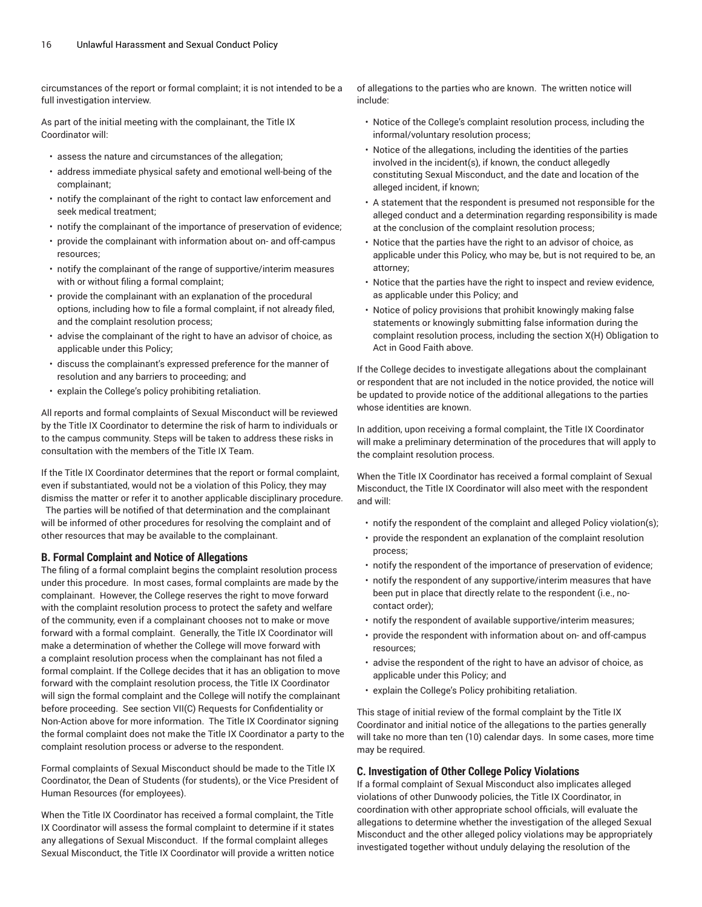circumstances of the report or formal complaint; it is not intended to be a full investigation interview.

As part of the initial meeting with the complainant, the Title IX Coordinator will:

- assess the nature and circumstances of the allegation;
- address immediate physical safety and emotional well-being of the complainant;
- notify the complainant of the right to contact law enforcement and seek medical treatment;
- notify the complainant of the importance of preservation of evidence;
- provide the complainant with information about on- and off-campus resources;
- notify the complainant of the range of supportive/interim measures with or without filing a formal complaint;
- provide the complainant with an explanation of the procedural options, including how to file a formal complaint, if not already filed, and the complaint resolution process;
- advise the complainant of the right to have an advisor of choice, as applicable under this Policy;
- discuss the complainant's expressed preference for the manner of resolution and any barriers to proceeding; and
- explain the College's policy prohibiting retaliation.

All reports and formal complaints of Sexual Misconduct will be reviewed by the Title IX Coordinator to determine the risk of harm to individuals or to the campus community. Steps will be taken to address these risks in consultation with the members of the Title IX Team.

If the Title IX Coordinator determines that the report or formal complaint, even if substantiated, would not be a violation of this Policy, they may dismiss the matter or refer it to another applicable disciplinary procedure.

The parties will be notified of that determination and the complainant will be informed of other procedures for resolving the complaint and of other resources that may be available to the complainant.

#### **B. Formal Complaint and Notice of Allegations**

The filing of a formal complaint begins the complaint resolution process under this procedure. In most cases, formal complaints are made by the complainant. However, the College reserves the right to move forward with the complaint resolution process to protect the safety and welfare of the community, even if a complainant chooses not to make or move forward with a formal complaint. Generally, the Title IX Coordinator will make a determination of whether the College will move forward with a complaint resolution process when the complainant has not filed a formal complaint. If the College decides that it has an obligation to move forward with the complaint resolution process, the Title IX Coordinator will sign the formal complaint and the College will notify the complainant before proceeding. See section VII(C) Requests for Confidentiality or Non-Action above for more information. The Title IX Coordinator signing the formal complaint does not make the Title IX Coordinator a party to the complaint resolution process or adverse to the respondent.

Formal complaints of Sexual Misconduct should be made to the Title IX Coordinator, the Dean of Students (for students), or the Vice President of Human Resources (for employees).

When the Title IX Coordinator has received a formal complaint, the Title IX Coordinator will assess the formal complaint to determine if it states any allegations of Sexual Misconduct. If the formal complaint alleges Sexual Misconduct, the Title IX Coordinator will provide a written notice of allegations to the parties who are known. The written notice will include:

- Notice of the College's complaint resolution process, including the informal/voluntary resolution process;
- Notice of the allegations, including the identities of the parties involved in the incident(s), if known, the conduct allegedly constituting Sexual Misconduct, and the date and location of the alleged incident, if known;
- A statement that the respondent is presumed not responsible for the alleged conduct and a determination regarding responsibility is made at the conclusion of the complaint resolution process;
- Notice that the parties have the right to an advisor of choice, as applicable under this Policy, who may be, but is not required to be, an attorney;
- Notice that the parties have the right to inspect and review evidence, as applicable under this Policy; and
- Notice of policy provisions that prohibit knowingly making false statements or knowingly submitting false information during the complaint resolution process, including the section X(H) Obligation to Act in Good Faith above.

If the College decides to investigate allegations about the complainant or respondent that are not included in the notice provided, the notice will be updated to provide notice of the additional allegations to the parties whose identities are known.

In addition, upon receiving a formal complaint, the Title IX Coordinator will make a preliminary determination of the procedures that will apply to the complaint resolution process.

When the Title IX Coordinator has received a formal complaint of Sexual Misconduct, the Title IX Coordinator will also meet with the respondent and will:

- notify the respondent of the complaint and alleged Policy violation(s);
- provide the respondent an explanation of the complaint resolution process;
- notify the respondent of the importance of preservation of evidence;
- notify the respondent of any supportive/interim measures that have been put in place that directly relate to the respondent (i.e., nocontact order);
- notify the respondent of available supportive/interim measures;
- provide the respondent with information about on- and off-campus resources;
- advise the respondent of the right to have an advisor of choice, as applicable under this Policy; and
- explain the College's Policy prohibiting retaliation.

This stage of initial review of the formal complaint by the Title IX Coordinator and initial notice of the allegations to the parties generally will take no more than ten (10) calendar days. In some cases, more time may be required.

#### **C. Investigation of Other College Policy Violations**

If a formal complaint of Sexual Misconduct also implicates alleged violations of other Dunwoody policies, the Title IX Coordinator, in coordination with other appropriate school officials, will evaluate the allegations to determine whether the investigation of the alleged Sexual Misconduct and the other alleged policy violations may be appropriately investigated together without unduly delaying the resolution of the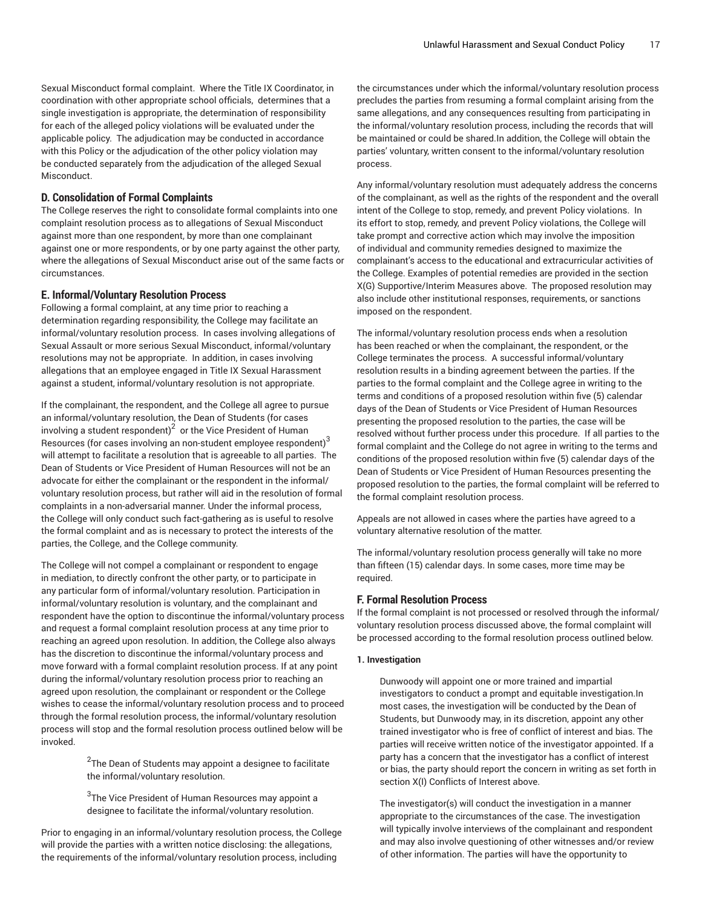Sexual Misconduct formal complaint. Where the Title IX Coordinator, in coordination with other appropriate school officials, determines that a single investigation is appropriate, the determination of responsibility for each of the alleged policy violations will be evaluated under the applicable policy. The adjudication may be conducted in accordance with this Policy or the adjudication of the other policy violation may be conducted separately from the adjudication of the alleged Sexual Misconduct.

# **D. Consolidation of Formal Complaints**

The College reserves the right to consolidate formal complaints into one complaint resolution process as to allegations of Sexual Misconduct against more than one respondent, by more than one complainant against one or more respondents, or by one party against the other party, where the allegations of Sexual Misconduct arise out of the same facts or circumstances.

# **E. Informal/Voluntary Resolution Process**

Following a formal complaint, at any time prior to reaching a determination regarding responsibility, the College may facilitate an informal/voluntary resolution process. In cases involving allegations of Sexual Assault or more serious Sexual Misconduct, informal/voluntary resolutions may not be appropriate. In addition, in cases involving allegations that an employee engaged in Title IX Sexual Harassment against a student, informal/voluntary resolution is not appropriate.

If the complainant, the respondent, and the College all agree to pursue an informal/voluntary resolution, the Dean of Students (for cases involving a student respondent) $^2\,$  or the Vice President of Human Resources (for cases involving an non-student employee respondent) $^3$ will attempt to facilitate a resolution that is agreeable to all parties. The Dean of Students or Vice President of Human Resources will not be an advocate for either the complainant or the respondent in the informal/ voluntary resolution process, but rather will aid in the resolution of formal complaints in a non-adversarial manner. Under the informal process, the College will only conduct such fact-gathering as is useful to resolve the formal complaint and as is necessary to protect the interests of the parties, the College, and the College community.

The College will not compel a complainant or respondent to engage in mediation, to directly confront the other party, or to participate in any particular form of informal/voluntary resolution. Participation in informal/voluntary resolution is voluntary, and the complainant and respondent have the option to discontinue the informal/voluntary process and request a formal complaint resolution process at any time prior to reaching an agreed upon resolution. In addition, the College also always has the discretion to discontinue the informal/voluntary process and move forward with a formal complaint resolution process. If at any point during the informal/voluntary resolution process prior to reaching an agreed upon resolution, the complainant or respondent or the College wishes to cease the informal/voluntary resolution process and to proceed through the formal resolution process, the informal/voluntary resolution process will stop and the formal resolution process outlined below will be invoked.

> $^2$ The Dean of Students may appoint a designee to facilitate the informal/voluntary resolution.

 $^3$ The Vice President of Human Resources may appoint a designee to facilitate the informal/voluntary resolution.

Prior to engaging in an informal/voluntary resolution process, the College will provide the parties with a written notice disclosing: the allegations, the requirements of the informal/voluntary resolution process, including

the circumstances under which the informal/voluntary resolution process precludes the parties from resuming a formal complaint arising from the same allegations, and any consequences resulting from participating in the informal/voluntary resolution process, including the records that will be maintained or could be shared.In addition, the College will obtain the parties' voluntary, written consent to the informal/voluntary resolution process.

Any informal/voluntary resolution must adequately address the concerns of the complainant, as well as the rights of the respondent and the overall intent of the College to stop, remedy, and prevent Policy violations. In its effort to stop, remedy, and prevent Policy violations, the College will take prompt and corrective action which may involve the imposition of individual and community remedies designed to maximize the complainant's access to the educational and extracurricular activities of the College. Examples of potential remedies are provided in the section X(G) Supportive/Interim Measures above. The proposed resolution may also include other institutional responses, requirements, or sanctions imposed on the respondent.

The informal/voluntary resolution process ends when a resolution has been reached or when the complainant, the respondent, or the College terminates the process. A successful informal/voluntary resolution results in a binding agreement between the parties. If the parties to the formal complaint and the College agree in writing to the terms and conditions of a proposed resolution within five (5) calendar days of the Dean of Students or Vice President of Human Resources presenting the proposed resolution to the parties, the case will be resolved without further process under this procedure. If all parties to the formal complaint and the College do not agree in writing to the terms and conditions of the proposed resolution within five (5) calendar days of the Dean of Students or Vice President of Human Resources presenting the proposed resolution to the parties, the formal complaint will be referred to the formal complaint resolution process.

Appeals are not allowed in cases where the parties have agreed to a voluntary alternative resolution of the matter.

The informal/voluntary resolution process generally will take no more than fifteen (15) calendar days. In some cases, more time may be required.

# **F. Formal Resolution Process**

If the formal complaint is not processed or resolved through the informal/ voluntary resolution process discussed above, the formal complaint will be processed according to the formal resolution process outlined below.

# **1. Investigation**

Dunwoody will appoint one or more trained and impartial investigators to conduct a prompt and equitable investigation.In most cases, the investigation will be conducted by the Dean of Students, but Dunwoody may, in its discretion, appoint any other trained investigator who is free of conflict of interest and bias. The parties will receive written notice of the investigator appointed. If a party has a concern that the investigator has a conflict of interest or bias, the party should report the concern in writing as set forth in section X(I) Conflicts of Interest above.

The investigator(s) will conduct the investigation in a manner appropriate to the circumstances of the case. The investigation will typically involve interviews of the complainant and respondent and may also involve questioning of other witnesses and/or review of other information. The parties will have the opportunity to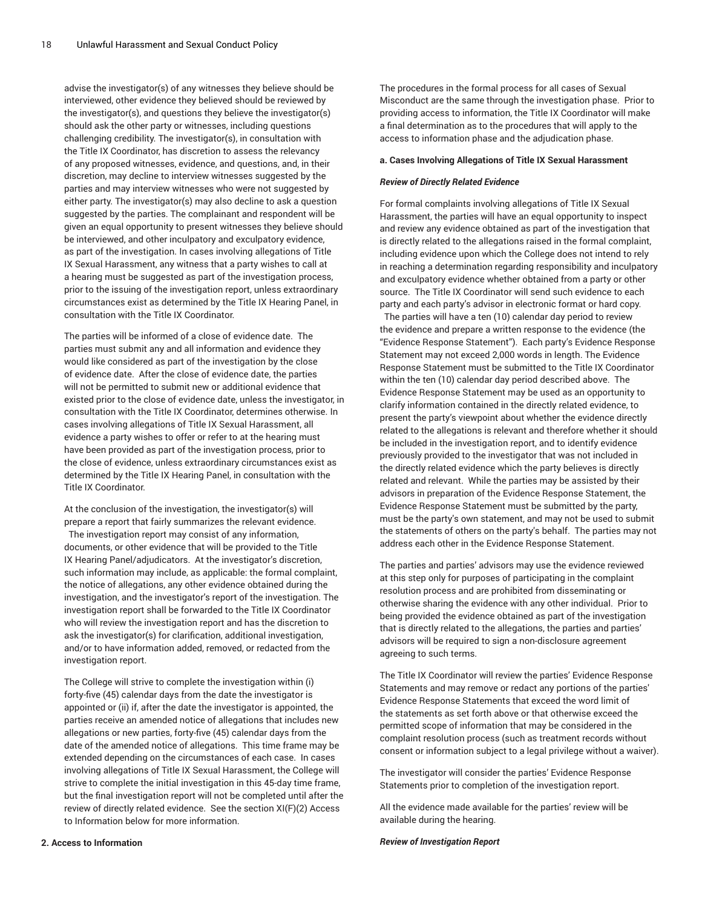advise the investigator(s) of any witnesses they believe should be interviewed, other evidence they believed should be reviewed by the investigator(s), and questions they believe the investigator(s) should ask the other party or witnesses, including questions challenging credibility. The investigator(s), in consultation with the Title IX Coordinator, has discretion to assess the relevancy of any proposed witnesses, evidence, and questions, and, in their discretion, may decline to interview witnesses suggested by the parties and may interview witnesses who were not suggested by either party. The investigator(s) may also decline to ask a question suggested by the parties. The complainant and respondent will be given an equal opportunity to present witnesses they believe should be interviewed, and other inculpatory and exculpatory evidence, as part of the investigation. In cases involving allegations of Title IX Sexual Harassment, any witness that a party wishes to call at a hearing must be suggested as part of the investigation process, prior to the issuing of the investigation report, unless extraordinary circumstances exist as determined by the Title IX Hearing Panel, in consultation with the Title IX Coordinator.

The parties will be informed of a close of evidence date. The parties must submit any and all information and evidence they would like considered as part of the investigation by the close of evidence date. After the close of evidence date, the parties will not be permitted to submit new or additional evidence that existed prior to the close of evidence date, unless the investigator, in consultation with the Title IX Coordinator, determines otherwise. In cases involving allegations of Title IX Sexual Harassment, all evidence a party wishes to offer or refer to at the hearing must have been provided as part of the investigation process, prior to the close of evidence, unless extraordinary circumstances exist as determined by the Title IX Hearing Panel, in consultation with the Title IX Coordinator.

At the conclusion of the investigation, the investigator(s) will prepare a report that fairly summarizes the relevant evidence.

The investigation report may consist of any information, documents, or other evidence that will be provided to the Title IX Hearing Panel/adjudicators. At the investigator's discretion, such information may include, as applicable: the formal complaint, the notice of allegations, any other evidence obtained during the investigation, and the investigator's report of the investigation. The investigation report shall be forwarded to the Title IX Coordinator who will review the investigation report and has the discretion to ask the investigator(s) for clarification, additional investigation, and/or to have information added, removed, or redacted from the investigation report.

The College will strive to complete the investigation within (i) forty-five (45) calendar days from the date the investigator is appointed or (ii) if, after the date the investigator is appointed, the parties receive an amended notice of allegations that includes new allegations or new parties, forty-five (45) calendar days from the date of the amended notice of allegations. This time frame may be extended depending on the circumstances of each case. In cases involving allegations of Title IX Sexual Harassment, the College will strive to complete the initial investigation in this 45-day time frame, but the final investigation report will not be completed until after the review of directly related evidence. See the section XI(F)(2) Access to Information below for more information.

The procedures in the formal process for all cases of Sexual Misconduct are the same through the investigation phase. Prior to providing access to information, the Title IX Coordinator will make a final determination as to the procedures that will apply to the access to information phase and the adjudication phase.

#### **a. Cases Involving Allegations of Title IX Sexual Harassment**

#### *Review of Directly Related Evidence*

For formal complaints involving allegations of Title IX Sexual Harassment, the parties will have an equal opportunity to inspect and review any evidence obtained as part of the investigation that is directly related to the allegations raised in the formal complaint, including evidence upon which the College does not intend to rely in reaching a determination regarding responsibility and inculpatory and exculpatory evidence whether obtained from a party or other source. The Title IX Coordinator will send such evidence to each party and each party's advisor in electronic format or hard copy.

The parties will have a ten (10) calendar day period to review the evidence and prepare a written response to the evidence (the "Evidence Response Statement"). Each party's Evidence Response Statement may not exceed 2,000 words in length. The Evidence Response Statement must be submitted to the Title IX Coordinator within the ten (10) calendar day period described above. The Evidence Response Statement may be used as an opportunity to clarify information contained in the directly related evidence, to present the party's viewpoint about whether the evidence directly related to the allegations is relevant and therefore whether it should be included in the investigation report, and to identify evidence previously provided to the investigator that was not included in the directly related evidence which the party believes is directly related and relevant. While the parties may be assisted by their advisors in preparation of the Evidence Response Statement, the Evidence Response Statement must be submitted by the party, must be the party's own statement, and may not be used to submit the statements of others on the party's behalf. The parties may not address each other in the Evidence Response Statement.

The parties and parties' advisors may use the evidence reviewed at this step only for purposes of participating in the complaint resolution process and are prohibited from disseminating or otherwise sharing the evidence with any other individual. Prior to being provided the evidence obtained as part of the investigation that is directly related to the allegations, the parties and parties' advisors will be required to sign a non-disclosure agreement agreeing to such terms.

The Title IX Coordinator will review the parties' Evidence Response Statements and may remove or redact any portions of the parties' Evidence Response Statements that exceed the word limit of the statements as set forth above or that otherwise exceed the permitted scope of information that may be considered in the complaint resolution process (such as treatment records without consent or information subject to a legal privilege without a waiver).

The investigator will consider the parties' Evidence Response Statements prior to completion of the investigation report.

All the evidence made available for the parties' review will be available during the hearing.

#### *Review of Investigation Report*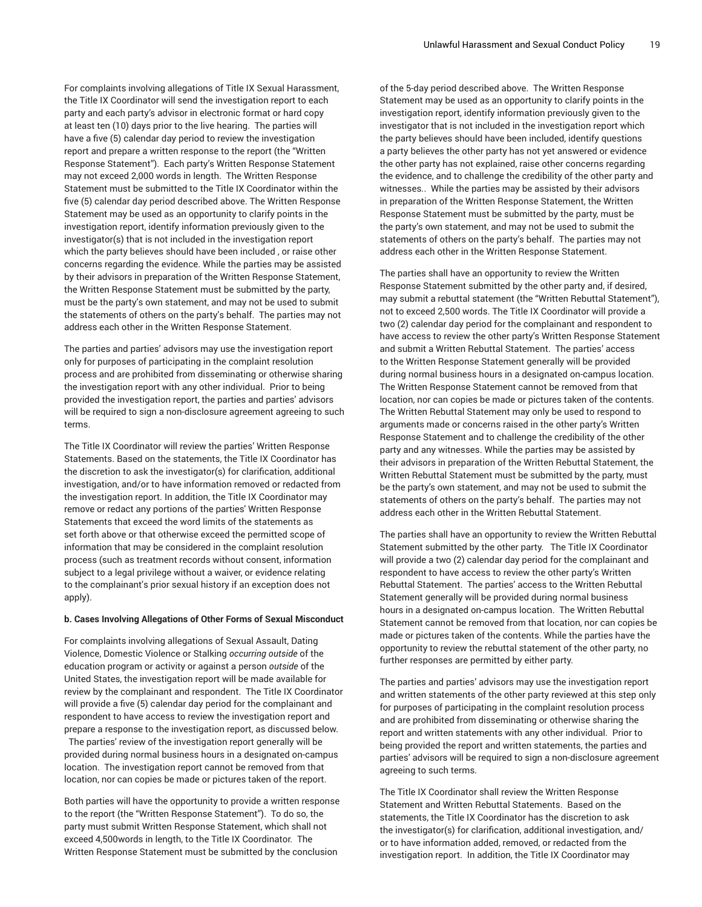For complaints involving allegations of Title IX Sexual Harassment, the Title IX Coordinator will send the investigation report to each party and each party's advisor in electronic format or hard copy at least ten (10) days prior to the live hearing. The parties will have a five (5) calendar day period to review the investigation report and prepare a written response to the report (the "Written Response Statement"). Each party's Written Response Statement may not exceed 2,000 words in length. The Written Response Statement must be submitted to the Title IX Coordinator within the five (5) calendar day period described above. The Written Response Statement may be used as an opportunity to clarify points in the investigation report, identify information previously given to the investigator(s) that is not included in the investigation report which the party believes should have been included , or raise other concerns regarding the evidence. While the parties may be assisted by their advisors in preparation of the Written Response Statement, the Written Response Statement must be submitted by the party, must be the party's own statement, and may not be used to submit the statements of others on the party's behalf. The parties may not address each other in the Written Response Statement.

The parties and parties' advisors may use the investigation report only for purposes of participating in the complaint resolution process and are prohibited from disseminating or otherwise sharing the investigation report with any other individual. Prior to being provided the investigation report, the parties and parties' advisors will be required to sign a non-disclosure agreement agreeing to such terms.

The Title IX Coordinator will review the parties' Written Response Statements. Based on the statements, the Title IX Coordinator has the discretion to ask the investigator(s) for clarification, additional investigation, and/or to have information removed or redacted from the investigation report. In addition, the Title IX Coordinator may remove or redact any portions of the parties' Written Response Statements that exceed the word limits of the statements as set forth above or that otherwise exceed the permitted scope of information that may be considered in the complaint resolution process (such as treatment records without consent, information subject to a legal privilege without a waiver, or evidence relating to the complainant's prior sexual history if an exception does not apply).

#### **b. Cases Involving Allegations of Other Forms of Sexual Misconduct**

For complaints involving allegations of Sexual Assault, Dating Violence, Domestic Violence or Stalking *occurring outside* of the education program or activity or against a person *outside* of the United States, the investigation report will be made available for review by the complainant and respondent. The Title IX Coordinator will provide a five (5) calendar day period for the complainant and respondent to have access to review the investigation report and prepare a response to the investigation report, as discussed below.

The parties' review of the investigation report generally will be provided during normal business hours in a designated on-campus location. The investigation report cannot be removed from that location, nor can copies be made or pictures taken of the report.

Both parties will have the opportunity to provide a written response to the report (the "Written Response Statement"). To do so, the party must submit Written Response Statement, which shall not exceed 4,500words in length, to the Title IX Coordinator. The Written Response Statement must be submitted by the conclusion

of the 5-day period described above. The Written Response Statement may be used as an opportunity to clarify points in the investigation report, identify information previously given to the investigator that is not included in the investigation report which the party believes should have been included, identify questions a party believes the other party has not yet answered or evidence the other party has not explained, raise other concerns regarding the evidence, and to challenge the credibility of the other party and witnesses.. While the parties may be assisted by their advisors in preparation of the Written Response Statement, the Written Response Statement must be submitted by the party, must be the party's own statement, and may not be used to submit the statements of others on the party's behalf. The parties may not address each other in the Written Response Statement.

The parties shall have an opportunity to review the Written Response Statement submitted by the other party and, if desired, may submit a rebuttal statement (the "Written Rebuttal Statement"), not to exceed 2,500 words. The Title IX Coordinator will provide a two (2) calendar day period for the complainant and respondent to have access to review the other party's Written Response Statement and submit a Written Rebuttal Statement. The parties' access to the Written Response Statement generally will be provided during normal business hours in a designated on-campus location. The Written Response Statement cannot be removed from that location, nor can copies be made or pictures taken of the contents. The Written Rebuttal Statement may only be used to respond to arguments made or concerns raised in the other party's Written Response Statement and to challenge the credibility of the other party and any witnesses. While the parties may be assisted by their advisors in preparation of the Written Rebuttal Statement, the Written Rebuttal Statement must be submitted by the party, must be the party's own statement, and may not be used to submit the statements of others on the party's behalf. The parties may not address each other in the Written Rebuttal Statement.

The parties shall have an opportunity to review the Written Rebuttal Statement submitted by the other party. The Title IX Coordinator will provide a two (2) calendar day period for the complainant and respondent to have access to review the other party's Written Rebuttal Statement. The parties' access to the Written Rebuttal Statement generally will be provided during normal business hours in a designated on-campus location. The Written Rebuttal Statement cannot be removed from that location, nor can copies be made or pictures taken of the contents. While the parties have the opportunity to review the rebuttal statement of the other party, no further responses are permitted by either party.

The parties and parties' advisors may use the investigation report and written statements of the other party reviewed at this step only for purposes of participating in the complaint resolution process and are prohibited from disseminating or otherwise sharing the report and written statements with any other individual. Prior to being provided the report and written statements, the parties and parties' advisors will be required to sign a non-disclosure agreement agreeing to such terms.

The Title IX Coordinator shall review the Written Response Statement and Written Rebuttal Statements. Based on the statements, the Title IX Coordinator has the discretion to ask the investigator(s) for clarification, additional investigation, and/ or to have information added, removed, or redacted from the investigation report. In addition, the Title IX Coordinator may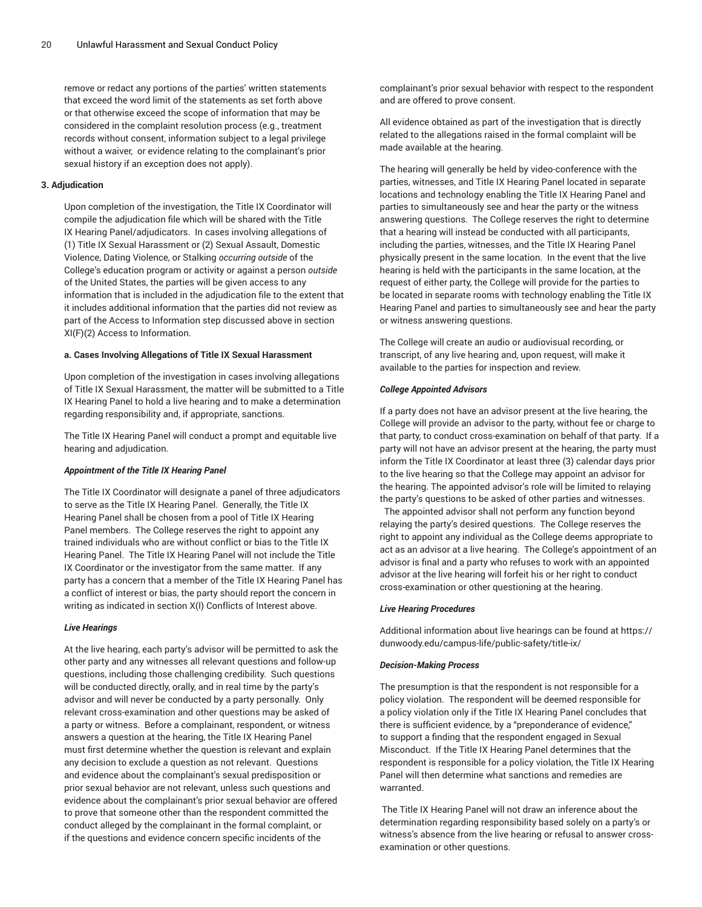remove or redact any portions of the parties' written statements that exceed the word limit of the statements as set forth above or that otherwise exceed the scope of information that may be considered in the complaint resolution process (e.g., treatment records without consent, information subject to a legal privilege without a waiver, or evidence relating to the complainant's prior sexual history if an exception does not apply).

## **3. Adjudication**

Upon completion of the investigation, the Title IX Coordinator will compile the adjudication file which will be shared with the Title IX Hearing Panel/adjudicators. In cases involving allegations of (1) Title IX Sexual Harassment or (2) Sexual Assault, Domestic Violence, Dating Violence, or Stalking *occurring outside* of the College's education program or activity or against a person *outside* of the United States, the parties will be given access to any information that is included in the adjudication file to the extent that it includes additional information that the parties did not review as part of the Access to Information step discussed above in section XI(F)(2) Access to Information.

#### **a. Cases Involving Allegations of Title IX Sexual Harassment**

Upon completion of the investigation in cases involving allegations of Title IX Sexual Harassment, the matter will be submitted to a Title IX Hearing Panel to hold a live hearing and to make a determination regarding responsibility and, if appropriate, sanctions.

The Title IX Hearing Panel will conduct a prompt and equitable live hearing and adjudication.

#### *Appointment of the Title IX Hearing Panel*

The Title IX Coordinator will designate a panel of three adjudicators to serve as the Title IX Hearing Panel. Generally, the Title IX Hearing Panel shall be chosen from a pool of Title IX Hearing Panel members. The College reserves the right to appoint any trained individuals who are without conflict or bias to the Title IX Hearing Panel. The Title IX Hearing Panel will not include the Title IX Coordinator or the investigator from the same matter. If any party has a concern that a member of the Title IX Hearing Panel has a conflict of interest or bias, the party should report the concern in writing as indicated in section X(I) Conflicts of Interest above.

#### *Live Hearings*

At the live hearing, each party's advisor will be permitted to ask the other party and any witnesses all relevant questions and follow-up questions, including those challenging credibility. Such questions will be conducted directly, orally, and in real time by the party's advisor and will never be conducted by a party personally. Only relevant cross-examination and other questions may be asked of a party or witness. Before a complainant, respondent, or witness answers a question at the hearing, the Title IX Hearing Panel must first determine whether the question is relevant and explain any decision to exclude a question as not relevant. Questions and evidence about the complainant's sexual predisposition or prior sexual behavior are not relevant, unless such questions and evidence about the complainant's prior sexual behavior are offered to prove that someone other than the respondent committed the conduct alleged by the complainant in the formal complaint, or if the questions and evidence concern specific incidents of the

complainant's prior sexual behavior with respect to the respondent and are offered to prove consent.

All evidence obtained as part of the investigation that is directly related to the allegations raised in the formal complaint will be made available at the hearing.

The hearing will generally be held by video-conference with the parties, witnesses, and Title IX Hearing Panel located in separate locations and technology enabling the Title IX Hearing Panel and parties to simultaneously see and hear the party or the witness answering questions. The College reserves the right to determine that a hearing will instead be conducted with all participants, including the parties, witnesses, and the Title IX Hearing Panel physically present in the same location. In the event that the live hearing is held with the participants in the same location, at the request of either party, the College will provide for the parties to be located in separate rooms with technology enabling the Title IX Hearing Panel and parties to simultaneously see and hear the party or witness answering questions.

The College will create an audio or audiovisual recording, or transcript, of any live hearing and, upon request, will make it available to the parties for inspection and review.

## *College Appointed Advisors*

If a party does not have an advisor present at the live hearing, the College will provide an advisor to the party, without fee or charge to that party, to conduct cross-examination on behalf of that party. If a party will not have an advisor present at the hearing, the party must inform the Title IX Coordinator at least three (3) calendar days prior to the live hearing so that the College may appoint an advisor for the hearing. The appointed advisor's role will be limited to relaying the party's questions to be asked of other parties and witnesses.

The appointed advisor shall not perform any function beyond relaying the party's desired questions. The College reserves the right to appoint any individual as the College deems appropriate to act as an advisor at a live hearing. The College's appointment of an advisor is final and a party who refuses to work with an appointed advisor at the live hearing will forfeit his or her right to conduct cross-examination or other questioning at the hearing.

# *Live Hearing Procedures*

Additional information about live hearings can be found at [https://](https://dunwoody.edu/campus-life/public-safety/title-ix/) [dunwoody.edu/campus-life/public-safety/title-ix/](https://dunwoody.edu/campus-life/public-safety/title-ix/)

# *Decision-Making Process*

The presumption is that the respondent is not responsible for a policy violation. The respondent will be deemed responsible for a policy violation only if the Title IX Hearing Panel concludes that there is sufficient evidence, by a "preponderance of evidence," to support a finding that the respondent engaged in Sexual Misconduct. If the Title IX Hearing Panel determines that the respondent is responsible for a policy violation, the Title IX Hearing Panel will then determine what sanctions and remedies are warranted.

The Title IX Hearing Panel will not draw an inference about the determination regarding responsibility based solely on a party's or witness's absence from the live hearing or refusal to answer crossexamination or other questions.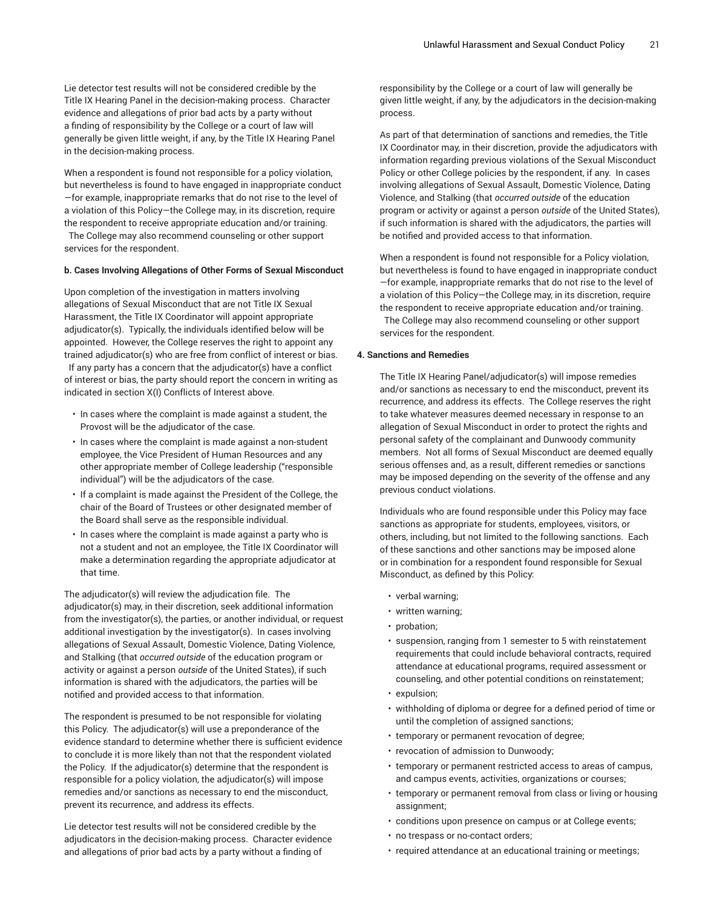Lie detector test results will not be considered credible by the Title IX Hearing Panel in the decision-making process. Character evidence and allegations of prior bad acts by a party without a finding of responsibility by the College or a court of law will generally be given little weight, if any, by the Title IX Hearing Panel in the decision-making process.

When a respondent is found not responsible for a policy violation, but nevertheless is found to have engaged in inappropriate conduct —for example, inappropriate remarks that do not rise to the level of a violation of this Policy—the College may, in its discretion, require the respondent to receive appropriate education and/or training. The College may also recommend counseling or other support services for the respondent.

#### **b. Cases Involving Allegations of Other Forms of Sexual Misconduct**

Upon completion of the investigation in matters involving allegations of Sexual Misconduct that are not Title IX Sexual Harassment, the Title IX Coordinator will appoint appropriate adjudicator(s). Typically, the individuals identified below will be appointed. However, the College reserves the right to appoint any trained adjudicator(s) who are free from conflict of interest or bias. If any party has a concern that the adjudicator(s) have a conflict of interest or bias, the party should report the concern in writing as indicated in section X(I) Conflicts of Interest above.

- In cases where the complaint is made against a student, the Provost will be the adjudicator of the case.
- In cases where the complaint is made against a non-student employee, the Vice President of Human Resources and any other appropriate member of College leadership ("responsible individual") will be the adjudicators of the case.
- If a complaint is made against the President of the College, the chair of the Board of Trustees or other designated member of the Board shall serve as the responsible individual.
- In cases where the complaint is made against a party who is not a student and not an employee, the Title IX Coordinator will make a determination regarding the appropriate adjudicator at that time.

The adjudicator(s) will review the adjudication file. The adjudicator(s) may, in their discretion, seek additional information from the investigator(s), the parties, or another individual, or request additional investigation by the investigator(s). In cases involving allegations of Sexual Assault, Domestic Violence, Dating Violence, and Stalking (that *occurred outside* of the education program or activity or against a person *outside* of the United States), if such information is shared with the adjudicators, the parties will be notified and provided access to that information.

The respondent is presumed to be not responsible for violating this Policy. The adjudicator(s) will use a preponderance of the evidence standard to determine whether there is sufficient evidence to conclude it is more likely than not that the respondent violated the Policy. If the adjudicator(s) determine that the respondent is responsible for a policy violation, the adjudicator(s) will impose remedies and/or sanctions as necessary to end the misconduct, prevent its recurrence, and address its effects.

Lie detector test results will not be considered credible by the adjudicators in the decision-making process. Character evidence and allegations of prior bad acts by a party without a finding of

responsibility by the College or a court of law will generally be given little weight, if any, by the adjudicators in the decision-making process.

As part of that determination of sanctions and remedies, the Title IX Coordinator may, in their discretion, provide the adjudicators with information regarding previous violations of the Sexual Misconduct Policy or other College policies by the respondent, if any. In cases involving allegations of Sexual Assault, Domestic Violence, Dating Violence, and Stalking (that *occurred outside* of the education program or activity or against a person *outside* of the United States), if such information is shared with the adjudicators, the parties will be notified and provided access to that information.

When a respondent is found not responsible for a Policy violation, but nevertheless is found to have engaged in inappropriate conduct —for example, inappropriate remarks that do not rise to the level of a violation of this Policy—the College may, in its discretion, require the respondent to receive appropriate education and/or training. The College may also recommend counseling or other support services for the respondent.

#### **4. Sanctions and Remedies**

The Title IX Hearing Panel/adjudicator(s) will impose remedies and/or sanctions as necessary to end the misconduct, prevent its recurrence, and address its effects. The College reserves the right to take whatever measures deemed necessary in response to an allegation of Sexual Misconduct in order to protect the rights and personal safety of the complainant and Dunwoody community members. Not all forms of Sexual Misconduct are deemed equally serious offenses and, as a result, different remedies or sanctions may be imposed depending on the severity of the offense and any previous conduct violations.

Individuals who are found responsible under this Policy may face sanctions as appropriate for students, employees, visitors, or others, including, but not limited to the following sanctions. Each of these sanctions and other sanctions may be imposed alone or in combination for a respondent found responsible for Sexual Misconduct, as defined by this Policy:

- verbal warning;
- written warning;
- probation:
- suspension, ranging from 1 semester to 5 with reinstatement requirements that could include behavioral contracts, required attendance at educational programs, required assessment or counseling, and other potential conditions on reinstatement;
- expulsion;
- withholding of diploma or degree for a defined period of time or until the completion of assigned sanctions;
- temporary or permanent revocation of degree;
- revocation of admission to Dunwoody;
- temporary or permanent restricted access to areas of campus, and campus events, activities, organizations or courses;
- temporary or permanent removal from class or living or housing assignment;
- conditions upon presence on campus or at College events;
- no trespass or no-contact orders;
- required attendance at an educational training or meetings;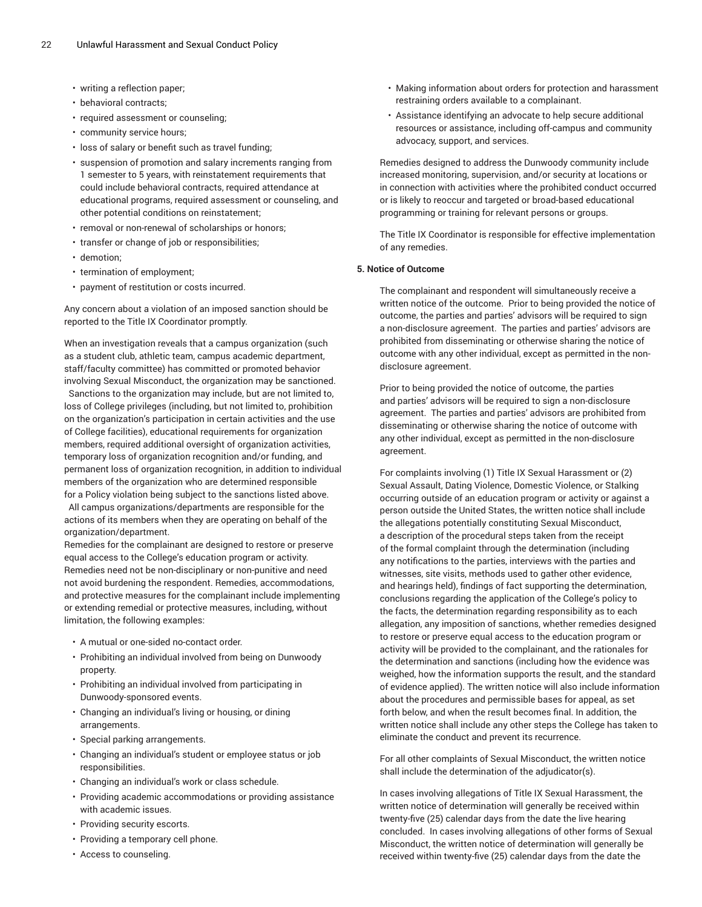- writing a reflection paper;
- behavioral contracts;
- required assessment or counseling;
- community service hours;
- loss of salary or benefit such as travel funding;
- suspension of promotion and salary increments ranging from 1 semester to 5 years, with reinstatement requirements that could include behavioral contracts, required attendance at educational programs, required assessment or counseling, and other potential conditions on reinstatement;
- removal or non-renewal of scholarships or honors;
- transfer or change of job or responsibilities;
- demotion;
- termination of employment;
- payment of restitution or costs incurred.

Any concern about a violation of an imposed sanction should be reported to the Title IX Coordinator promptly.

When an investigation reveals that a campus organization (such as a student club, athletic team, campus academic department, staff/faculty committee) has committed or promoted behavior involving Sexual Misconduct, the organization may be sanctioned.

Sanctions to the organization may include, but are not limited to, loss of College privileges (including, but not limited to, prohibition on the organization's participation in certain activities and the use of College facilities), educational requirements for organization members, required additional oversight of organization activities, temporary loss of organization recognition and/or funding, and permanent loss of organization recognition, in addition to individual members of the organization who are determined responsible for a Policy violation being subject to the sanctions listed above.

All campus organizations/departments are responsible for the actions of its members when they are operating on behalf of the organization/department.

Remedies for the complainant are designed to restore or preserve equal access to the College's education program or activity. Remedies need not be non-disciplinary or non-punitive and need not avoid burdening the respondent. Remedies, accommodations, and protective measures for the complainant include implementing or extending remedial or protective measures, including, without limitation, the following examples:

- A mutual or one-sided no-contact order.
- Prohibiting an individual involved from being on Dunwoody property.
- Prohibiting an individual involved from participating in Dunwoody-sponsored events.
- Changing an individual's living or housing, or dining arrangements.
- Special parking arrangements.
- Changing an individual's student or employee status or job responsibilities.
- Changing an individual's work or class schedule.
- Providing academic accommodations or providing assistance with academic issues.
- Providing security escorts.
- Providing a temporary cell phone.
- Access to counseling.
- Making information about orders for protection and harassment restraining orders available to a complainant.
- Assistance identifying an advocate to help secure additional resources or assistance, including off-campus and community advocacy, support, and services.

Remedies designed to address the Dunwoody community include increased monitoring, supervision, and/or security at locations or in connection with activities where the prohibited conduct occurred or is likely to reoccur and targeted or broad-based educational programming or training for relevant persons or groups.

The Title IX Coordinator is responsible for effective implementation of any remedies.

#### **5. Notice of Outcome**

The complainant and respondent will simultaneously receive a written notice of the outcome. Prior to being provided the notice of outcome, the parties and parties' advisors will be required to sign a non-disclosure agreement. The parties and parties' advisors are prohibited from disseminating or otherwise sharing the notice of outcome with any other individual, except as permitted in the nondisclosure agreement.

Prior to being provided the notice of outcome, the parties and parties' advisors will be required to sign a non-disclosure agreement. The parties and parties' advisors are prohibited from disseminating or otherwise sharing the notice of outcome with any other individual, except as permitted in the non-disclosure agreement.

For complaints involving (1) Title IX Sexual Harassment or (2) Sexual Assault, Dating Violence, Domestic Violence, or Stalking occurring outside of an education program or activity or against a person outside the United States, the written notice shall include the allegations potentially constituting Sexual Misconduct, a description of the procedural steps taken from the receipt of the formal complaint through the determination (including any notifications to the parties, interviews with the parties and witnesses, site visits, methods used to gather other evidence, and hearings held), findings of fact supporting the determination, conclusions regarding the application of the College's policy to the facts, the determination regarding responsibility as to each allegation, any imposition of sanctions, whether remedies designed to restore or preserve equal access to the education program or activity will be provided to the complainant, and the rationales for the determination and sanctions (including how the evidence was weighed, how the information supports the result, and the standard of evidence applied). The written notice will also include information about the procedures and permissible bases for appeal, as set forth below, and when the result becomes final. In addition, the written notice shall include any other steps the College has taken to eliminate the conduct and prevent its recurrence.

For all other complaints of Sexual Misconduct, the written notice shall include the determination of the adjudicator(s).

In cases involving allegations of Title IX Sexual Harassment, the written notice of determination will generally be received within twenty-five (25) calendar days from the date the live hearing concluded. In cases involving allegations of other forms of Sexual Misconduct, the written notice of determination will generally be received within twenty-five (25) calendar days from the date the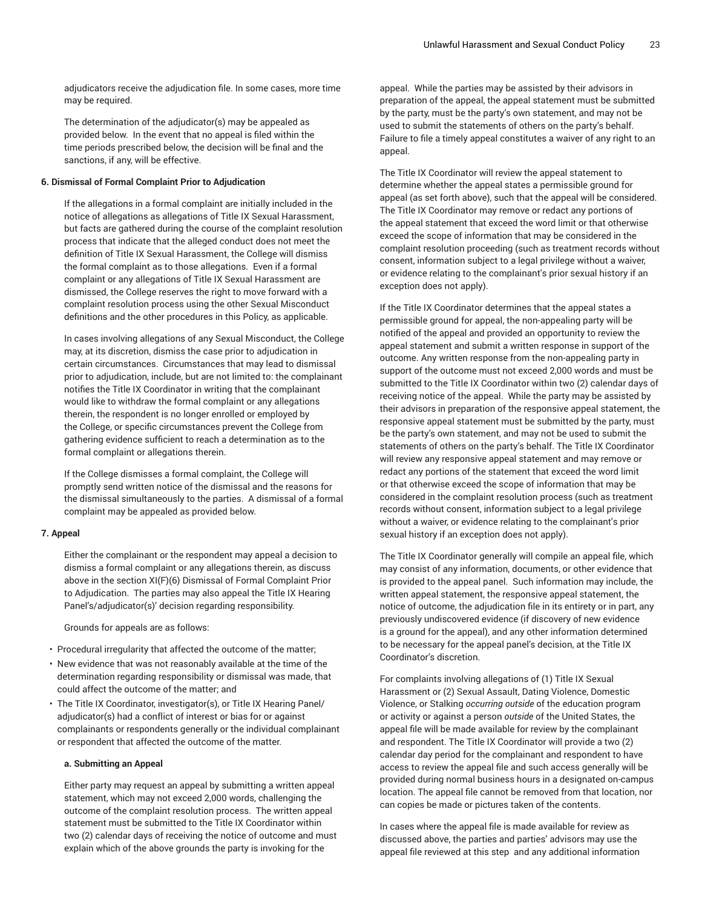adjudicators receive the adjudication file. In some cases, more time may be required.

The determination of the adjudicator(s) may be appealed as provided below. In the event that no appeal is filed within the time periods prescribed below, the decision will be final and the sanctions, if any, will be effective.

#### **6. Dismissal of Formal Complaint Prior to Adjudication**

If the allegations in a formal complaint are initially included in the notice of allegations as allegations of Title IX Sexual Harassment, but facts are gathered during the course of the complaint resolution process that indicate that the alleged conduct does not meet the definition of Title IX Sexual Harassment, the College will dismiss the formal complaint as to those allegations. Even if a formal complaint or any allegations of Title IX Sexual Harassment are dismissed, the College reserves the right to move forward with a complaint resolution process using the other Sexual Misconduct definitions and the other procedures in this Policy, as applicable.

In cases involving allegations of any Sexual Misconduct, the College may, at its discretion, dismiss the case prior to adjudication in certain circumstances. Circumstances that may lead to dismissal prior to adjudication, include, but are not limited to: the complainant notifies the Title IX Coordinator in writing that the complainant would like to withdraw the formal complaint or any allegations therein, the respondent is no longer enrolled or employed by the College, or specific circumstances prevent the College from gathering evidence sufficient to reach a determination as to the formal complaint or allegations therein.

If the College dismisses a formal complaint, the College will promptly send written notice of the dismissal and the reasons for the dismissal simultaneously to the parties. A dismissal of a formal complaint may be appealed as provided below.

#### **7. Appeal**

Either the complainant or the respondent may appeal a decision to dismiss a formal complaint or any allegations therein, as discuss above in the section XI(F)(6) Dismissal of Formal Complaint Prior to Adjudication. The parties may also appeal the Title IX Hearing Panel's/adjudicator(s)' decision regarding responsibility.

Grounds for appeals are as follows:

- Procedural irregularity that affected the outcome of the matter;
- New evidence that was not reasonably available at the time of the determination regarding responsibility or dismissal was made, that could affect the outcome of the matter; and
- The Title IX Coordinator, investigator(s), or Title IX Hearing Panel/ adjudicator(s) had a conflict of interest or bias for or against complainants or respondents generally or the individual complainant or respondent that affected the outcome of the matter.

#### **a. Submitting an Appeal**

Either party may request an appeal by submitting a written appeal statement, which may not exceed 2,000 words, challenging the outcome of the complaint resolution process. The written appeal statement must be submitted to the Title IX Coordinator within two (2) calendar days of receiving the notice of outcome and must explain which of the above grounds the party is invoking for the

appeal. While the parties may be assisted by their advisors in preparation of the appeal, the appeal statement must be submitted by the party, must be the party's own statement, and may not be used to submit the statements of others on the party's behalf. Failure to file a timely appeal constitutes a waiver of any right to an appeal.

The Title IX Coordinator will review the appeal statement to determine whether the appeal states a permissible ground for appeal (as set forth above), such that the appeal will be considered. The Title IX Coordinator may remove or redact any portions of the appeal statement that exceed the word limit or that otherwise exceed the scope of information that may be considered in the complaint resolution proceeding (such as treatment records without consent, information subject to a legal privilege without a waiver, or evidence relating to the complainant's prior sexual history if an exception does not apply).

If the Title IX Coordinator determines that the appeal states a permissible ground for appeal, the non-appealing party will be notified of the appeal and provided an opportunity to review the appeal statement and submit a written response in support of the outcome. Any written response from the non-appealing party in support of the outcome must not exceed 2,000 words and must be submitted to the Title IX Coordinator within two (2) calendar days of receiving notice of the appeal. While the party may be assisted by their advisors in preparation of the responsive appeal statement, the responsive appeal statement must be submitted by the party, must be the party's own statement, and may not be used to submit the statements of others on the party's behalf. The Title IX Coordinator will review any responsive appeal statement and may remove or redact any portions of the statement that exceed the word limit or that otherwise exceed the scope of information that may be considered in the complaint resolution process (such as treatment records without consent, information subject to a legal privilege without a waiver, or evidence relating to the complainant's prior sexual history if an exception does not apply).

The Title IX Coordinator generally will compile an appeal file, which may consist of any information, documents, or other evidence that is provided to the appeal panel. Such information may include, the written appeal statement, the responsive appeal statement, the notice of outcome, the adjudication file in its entirety or in part, any previously undiscovered evidence (if discovery of new evidence is a ground for the appeal), and any other information determined to be necessary for the appeal panel's decision, at the Title IX Coordinator's discretion.

For complaints involving allegations of (1) Title IX Sexual Harassment or (2) Sexual Assault, Dating Violence, Domestic Violence, or Stalking *occurring outside* of the education program or activity or against a person *outside* of the United States, the appeal file will be made available for review by the complainant and respondent. The Title IX Coordinator will provide a two (2) calendar day period for the complainant and respondent to have access to review the appeal file and such access generally will be provided during normal business hours in a designated on-campus location. The appeal file cannot be removed from that location, nor can copies be made or pictures taken of the contents.

In cases where the appeal file is made available for review as discussed above, the parties and parties' advisors may use the appeal file reviewed at this step and any additional information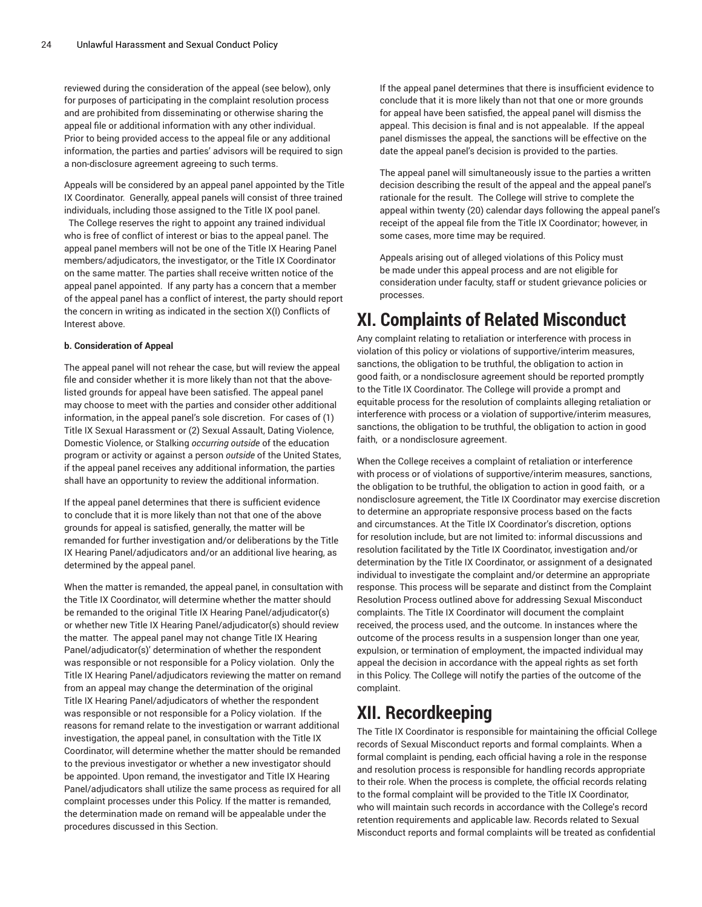reviewed during the consideration of the appeal (see below), only for purposes of participating in the complaint resolution process and are prohibited from disseminating or otherwise sharing the appeal file or additional information with any other individual. Prior to being provided access to the appeal file or any additional information, the parties and parties' advisors will be required to sign a non-disclosure agreement agreeing to such terms.

Appeals will be considered by an appeal panel appointed by the Title IX Coordinator. Generally, appeal panels will consist of three trained individuals, including those assigned to the Title IX pool panel.

The College reserves the right to appoint any trained individual who is free of conflict of interest or bias to the appeal panel. The appeal panel members will not be one of the Title IX Hearing Panel members/adjudicators, the investigator, or the Title IX Coordinator on the same matter. The parties shall receive written notice of the appeal panel appointed. If any party has a concern that a member of the appeal panel has a conflict of interest, the party should report the concern in writing as indicated in the section X(I) Conflicts of Interest above.

### **b. Consideration of Appeal**

The appeal panel will not rehear the case, but will review the appeal file and consider whether it is more likely than not that the abovelisted grounds for appeal have been satisfied. The appeal panel may choose to meet with the parties and consider other additional information, in the appeal panel's sole discretion. For cases of (1) Title IX Sexual Harassment or (2) Sexual Assault, Dating Violence, Domestic Violence, or Stalking *occurring outside* of the education program or activity or against a person *outside* of the United States, if the appeal panel receives any additional information, the parties shall have an opportunity to review the additional information.

If the appeal panel determines that there is sufficient evidence to conclude that it is more likely than not that one of the above grounds for appeal is satisfied, generally, the matter will be remanded for further investigation and/or deliberations by the Title IX Hearing Panel/adjudicators and/or an additional live hearing, as determined by the appeal panel.

When the matter is remanded, the appeal panel, in consultation with the Title IX Coordinator, will determine whether the matter should be remanded to the original Title IX Hearing Panel/adjudicator(s) or whether new Title IX Hearing Panel/adjudicator(s) should review the matter. The appeal panel may not change Title IX Hearing Panel/adjudicator(s)' determination of whether the respondent was responsible or not responsible for a Policy violation. Only the Title IX Hearing Panel/adjudicators reviewing the matter on remand from an appeal may change the determination of the original Title IX Hearing Panel/adjudicators of whether the respondent was responsible or not responsible for a Policy violation. If the reasons for remand relate to the investigation or warrant additional investigation, the appeal panel, in consultation with the Title IX Coordinator, will determine whether the matter should be remanded to the previous investigator or whether a new investigator should be appointed. Upon remand, the investigator and Title IX Hearing Panel/adjudicators shall utilize the same process as required for all complaint processes under this Policy. If the matter is remanded, the determination made on remand will be appealable under the procedures discussed in this Section.

If the appeal panel determines that there is insufficient evidence to conclude that it is more likely than not that one or more grounds for appeal have been satisfied, the appeal panel will dismiss the appeal. This decision is final and is not appealable. If the appeal panel dismisses the appeal, the sanctions will be effective on the date the appeal panel's decision is provided to the parties.

The appeal panel will simultaneously issue to the parties a written decision describing the result of the appeal and the appeal panel's rationale for the result. The College will strive to complete the appeal within twenty (20) calendar days following the appeal panel's receipt of the appeal file from the Title IX Coordinator; however, in some cases, more time may be required.

Appeals arising out of alleged violations of this Policy must be made under this appeal process and are not eligible for consideration under faculty, staff or student grievance policies or processes.

# **XI. Complaints of Related Misconduct**

Any complaint relating to retaliation or interference with process in violation of this policy or violations of supportive/interim measures, sanctions, the obligation to be truthful, the obligation to action in good faith, or a nondisclosure agreement should be reported promptly to the Title IX Coordinator. The College will provide a prompt and equitable process for the resolution of complaints alleging retaliation or interference with process or a violation of supportive/interim measures, sanctions, the obligation to be truthful, the obligation to action in good faith, or a nondisclosure agreement.

When the College receives a complaint of retaliation or interference with process or of violations of supportive/interim measures, sanctions, the obligation to be truthful, the obligation to action in good faith, or a nondisclosure agreement, the Title IX Coordinator may exercise discretion to determine an appropriate responsive process based on the facts and circumstances. At the Title IX Coordinator's discretion, options for resolution include, but are not limited to: informal discussions and resolution facilitated by the Title IX Coordinator, investigation and/or determination by the Title IX Coordinator, or assignment of a designated individual to investigate the complaint and/or determine an appropriate response. This process will be separate and distinct from the Complaint Resolution Process outlined above for addressing Sexual Misconduct complaints. The Title IX Coordinator will document the complaint received, the process used, and the outcome. In instances where the outcome of the process results in a suspension longer than one year, expulsion, or termination of employment, the impacted individual may appeal the decision in accordance with the appeal rights as set forth in this Policy. The College will notify the parties of the outcome of the complaint.

# **XII. Recordkeeping**

The Title IX Coordinator is responsible for maintaining the official College records of Sexual Misconduct reports and formal complaints. When a formal complaint is pending, each official having a role in the response and resolution process is responsible for handling records appropriate to their role. When the process is complete, the official records relating to the formal complaint will be provided to the Title IX Coordinator, who will maintain such records in accordance with the College's record retention requirements and applicable law. Records related to Sexual Misconduct reports and formal complaints will be treated as confidential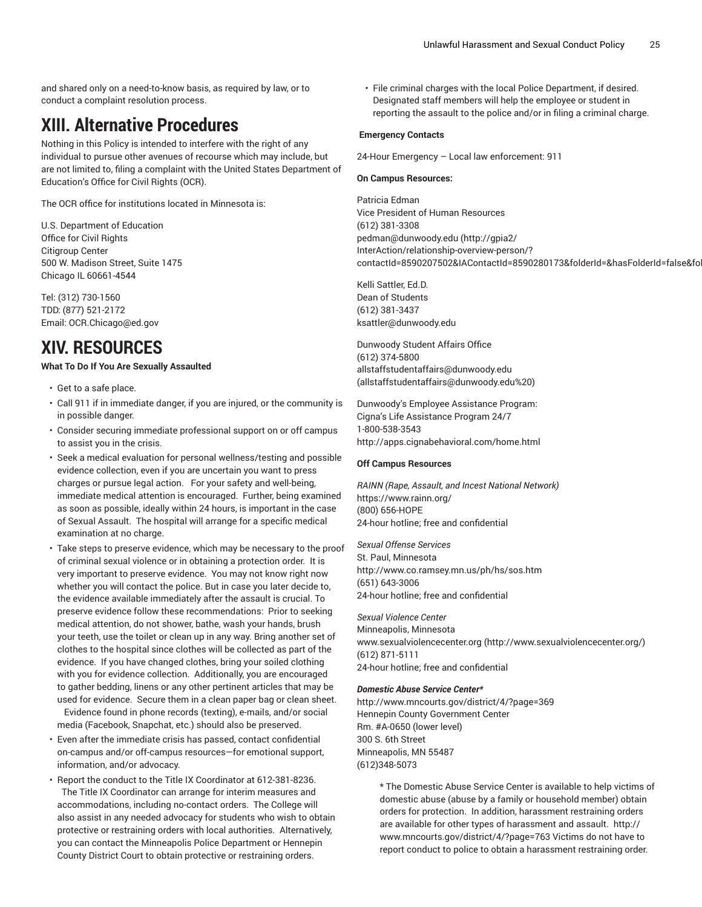and shared only on a need-to-know basis, as required by law, or to conduct a complaint resolution process.

# **XIII. Alternative Procedures**

Nothing in this Policy is intended to interfere with the right of any individual to pursue other avenues of recourse which may include, but are not limited to, filing a complaint with the United States Department of Education's Office for Civil Rights (OCR).

The OCR office for institutions located in Minnesota is:

U.S. Department of Education Office for Civil Rights Citigroup Center 500 W. Madison Street, Suite 1475 Chicago IL 60661-4544

Tel: (312) 730-1560 TDD: (877) 521-2172 Email: OCR.Chicago@ed.gov

# **XIV. RESOURCES**

## **What To Do If You Are Sexually Assaulted**

- Get to a safe place.
- Call 911 if in immediate danger, if you are injured, or the community is in possible danger.
- Consider securing immediate professional support on or off campus to assist you in the crisis.
- Seek a medical evaluation for personal wellness/testing and possible evidence collection, even if you are uncertain you want to press charges or pursue legal action. For your safety and well-being, immediate medical attention is encouraged. Further, being examined as soon as possible, ideally within 24 hours, is important in the case of Sexual Assault. The hospital will arrange for a specific medical examination at no charge.
- Take steps to preserve evidence, which may be necessary to the proof of criminal sexual violence or in obtaining a protection order. It is very important to preserve evidence. You may not know right now whether you will contact the police. But in case you later decide to, the evidence available immediately after the assault is crucial. To preserve evidence follow these recommendations: Prior to seeking medical attention, do not shower, bathe, wash your hands, brush your teeth, use the toilet or clean up in any way. Bring another set of clothes to the hospital since clothes will be collected as part of the evidence. If you have changed clothes, bring your soiled clothing with you for evidence collection. Additionally, you are encouraged to gather bedding, linens or any other pertinent articles that may be used for evidence. Secure them in a clean paper bag or clean sheet.

Evidence found in phone records (texting), e-mails, and/or social media (Facebook, Snapchat, etc.) should also be preserved.

- Even after the immediate crisis has passed, contact confidential on-campus and/or off-campus resources—for emotional support, information, and/or advocacy.
- Report the conduct to the Title IX Coordinator at 612-381-8236. The Title IX Coordinator can arrange for interim measures and accommodations, including no-contact orders. The College will also assist in any needed advocacy for students who wish to obtain protective or restraining orders with local authorities. Alternatively, you can contact the Minneapolis Police Department or Hennepin County District Court to obtain protective or restraining orders.

• File criminal charges with the local Police Department, if desired. Designated staff members will help the employee or student in reporting the assault to the police and/or in filing a criminal charge.

## **Emergency Contacts**

24-Hour Emergency – Local law enforcement: 911

#### **On Campus Resources:**

Patricia Edman Vice President of Human Resources (612) 381-3308 [pedman@dunwoody.edu](http://gpia2/InterAction/relationship-overview-person/?contactId=8590207502&IAContactId=8590280173&folderId=&hasFolderId=false&folderClass=&findContactName=&soundsLike=&hasProjectId=false&proxyAccount=) ([http://gpia2/](http://gpia2/InterAction/relationship-overview-person/?contactId=8590207502&IAContactId=8590280173&folderId=&hasFolderId=false&folderClass=&findContactName=&soundsLike=&hasProjectId=false&proxyAccount=) [InterAction/relationship-overview-person/?](http://gpia2/InterAction/relationship-overview-person/?contactId=8590207502&IAContactId=8590280173&folderId=&hasFolderId=false&folderClass=&findContactName=&soundsLike=&hasProjectId=false&proxyAccount=) contactId=8590207502&IAContactId=8590280173&folderId=&hasFolderId=false&fo

Kelli Sattler, Ed.D. Dean of Students (612) 381-3437 [ksattler@dunwoody.edu](mailto:ksattler@dunwoody.edu)

Dunwoody Student Affairs Office (612) 374-5800 [allstaffstudentaffairs@dunwoody.edu](mailto:allstaffstudentaffairs@dunwoody.edu%20) [\(allstaffstudentaffairs@dunwoody.edu%20](allstaffstudentaffairs@dunwoody.edu%20))

Dunwoody's Employee Assistance Program: Cigna's Life Assistance Program 24/7 1-800-538-3543 <http://apps.cignabehavioral.com/home.html>

#### **Off Campus Resources**

*RAINN (Rape, Assault, and Incest National Network)* <https://www.rainn.org/> (800) 656-HOPE 24-hour hotline; free and confidential

*Sexual Offense Services* St. Paul, Minnesota <http://www.co.ramsey.mn.us/ph/hs/sos.htm> (651) 643-3006 24-hour hotline; free and confidential

*Sexual Violence Center* Minneapolis, Minnesota [www.sexualviolencecenter.org](http://www.sexualviolencecenter.org/) (<http://www.sexualviolencecenter.org/>) (612) 871-5111 24-hour hotline; free and confidential

#### *Domestic Abuse Service Center\**

<http://www.mncourts.gov/district/4/?page=369> Hennepin County Government Center Rm. #A-0650 (lower level) 300 S. 6th Street Minneapolis, MN 55487 (612)348-5073

> \* The Domestic Abuse Service Center is available to help victims of domestic abuse (abuse by a family or household member) obtain orders for protection. In addition, harassment restraining orders are available for other types of harassment and assault. http:// www.mncourts.gov/district/4/?page=763 Victims do not have to report conduct to police to obtain a harassment restraining order.